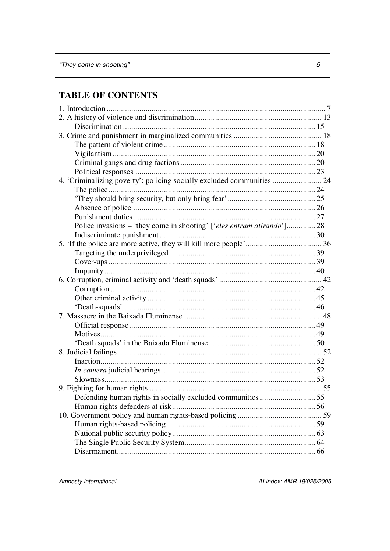# **TABLE OF CONTENTS**

| 4. 'Criminalizing poverty': policing socially excluded communities  24 |  |
|------------------------------------------------------------------------|--|
|                                                                        |  |
|                                                                        |  |
|                                                                        |  |
|                                                                        |  |
| Police invasions – 'they come in shooting' ['eles entram atirando'] 28 |  |
|                                                                        |  |
|                                                                        |  |
|                                                                        |  |
|                                                                        |  |
|                                                                        |  |
|                                                                        |  |
|                                                                        |  |
|                                                                        |  |
|                                                                        |  |
|                                                                        |  |
|                                                                        |  |
|                                                                        |  |
|                                                                        |  |
|                                                                        |  |
|                                                                        |  |
|                                                                        |  |
|                                                                        |  |
|                                                                        |  |
| Defending human rights in socially excluded communities  55            |  |
|                                                                        |  |
|                                                                        |  |
|                                                                        |  |
|                                                                        |  |
|                                                                        |  |
|                                                                        |  |

Amnesty International

AI Index: AMR 19/025/2005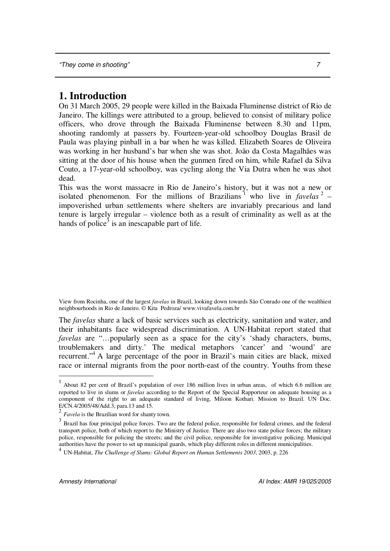# **1. Introduction**

On 31 March 2005, 29 people were killed in the Baixada Fluminense district of Rio de Janeiro. The killings were attributed to a group, believed to consist of military police officers, who drove through the Baixada Fluminense between 8.30 and 11pm, shooting randomly at passers by. Fourteen-year-old schoolboy Douglas Brasil de Paula was playing pinball in a bar when he was killed. Elizabeth Soares de Oliveira was working in her husband's bar when she was shot. João da Costa Magalhães was sitting at the door of his house when the gunmen fired on him, while Rafael da Silva Couto, a 17-year-old schoolboy, was cycling along the Via Dutra when he was shot dead.

This was the worst massacre in Rio de Janeiro's history, but it was not a new or isolated phenomenon. For the millions of Brazilians<sup>1</sup> who live in *favelas*<sup>2</sup> – impoverished urban settlements where shelters are invariably precarious and land tenure is largely irregular – violence both as a result of criminality as well as at the hands of police<sup>3</sup> is an inescapable part of life.

The *favelas* share a lack of basic services such as electricity, sanitation and water, and their inhabitants face widespread discrimination. A UN-Habitat report stated that *favelas* are "…popularly seen as a space for the city's 'shady characters, bums, troublemakers and dirty.' The medical metaphors 'cancer' and 'wound' are recurrent."<sup>4</sup> A large percentage of the poor in Brazil's main cities are black, mixed race or internal migrants from the poor north-east of the country. Youths from these

View from Rocinha, one of the largest *favelas* in Brazil, looking down towards São Conrado one of the wealthiest neighbourhoods in Rio de Janeiro. © Kita Pedroza/ www.vivafavela.com.br

<sup>&</sup>lt;sup>1</sup> About 82 per cent of Brazil's population of over 186 million lives in urban areas, of which 6.6 million are reported to live in slums or *favelas* according to the Report of the Special Rapporteur on adequate housing as a component of the right to an adequate standard of living, Miloon Kothari. Mission to Brazil. UN Doc. E/CN.4/2005/48/Add.3, para.13 and  $15$ .

<sup>2</sup> *Favela* is the Brazilian word for shanty town.

 $3$  Brazil has four principal police forces. Two are the federal police, responsible for federal crimes, and the federal transport police, both of which report to the Ministry of Justice. There are also two state police forces; the military police, responsible for policing the streets; and the civil police, responsible for investigative policing. Municipal authorities have the power to set up municipal guards, which play different roles in different municipalities. 4

UN-Habitat, *The Challenge of Slums: Global Report on Human Settlements 2003*, 2003, p. 226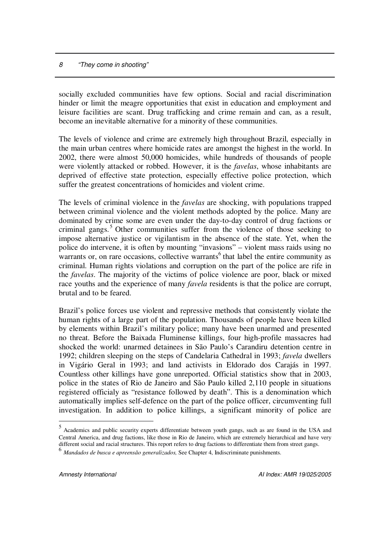socially excluded communities have few options. Social and racial discrimination hinder or limit the meagre opportunities that exist in education and employment and leisure facilities are scant. Drug trafficking and crime remain and can, as a result, become an inevitable alternative for a minority of these communities.

The levels of violence and crime are extremely high throughout Brazil, especially in the main urban centres where homicide rates are amongst the highest in the world. In 2002, there were almost 50,000 homicides, while hundreds of thousands of people were violently attacked or robbed. However, it is the *favelas*, whose inhabitants are deprived of effective state protection, especially effective police protection, which suffer the greatest concentrations of homicides and violent crime.

The levels of criminal violence in the *favelas* are shocking, with populations trapped between criminal violence and the violent methods adopted by the police. Many are dominated by crime some are even under the day-to-day control of drug factions or criminal gangs. <sup>5</sup> Other communities suffer from the violence of those seeking to impose alternative justice or vigilantism in the absence of the state. Yet, when the police do intervene, it is often by mounting "invasions" – violent mass raids using no warrants or, on rare occasions, collective warrants 6 that label the entire community as criminal. Human rights violations and corruption on the part of the police are rife in the *favelas*. The majority of the victims of police violence are poor, black or mixed race youths and the experience of many *favela* residents is that the police are corrupt, brutal and to be feared.

Brazil's police forces use violent and repressive methods that consistently violate the human rights of a large part of the population. Thousands of people have been killed by elements within Brazil's military police; many have been unarmed and presented no threat. Before the Baixada Fluminense killings, four high-profile massacres had shocked the world: unarmed detainees in São Paulo's Carandiru detention centre in 1992; children sleeping on the steps of Candelaria Cathedral in 1993; *favela* dwellers in Vigário Geral in 1993; and land activists in Eldorado dos Carajás in 1997. Countless other killings have gone unreported. Official statistics show that in 2003, police in the states of Rio de Janeiro and São Paulo killed 2,110 people in situations registered officialy as "resistance followed by death". This is a denomination which automatically implies self-defence on the part of the police officer, circumventing full investigation. In addition to police killings, a significant minority of police are

<sup>5</sup> Academics and public security experts differentiate between youth gangs, such as are found in the USA and Central America, and drug factions, like those in Rio de Janeiro, which are extremely hierarchical and have very different social and racial structures. This report refers to drug factions to differentiate them from street gangs.

<sup>6</sup> *Mandados de busca <sup>e</sup> apreensão generalizados,* See Chapter 4, Indiscriminate punishments.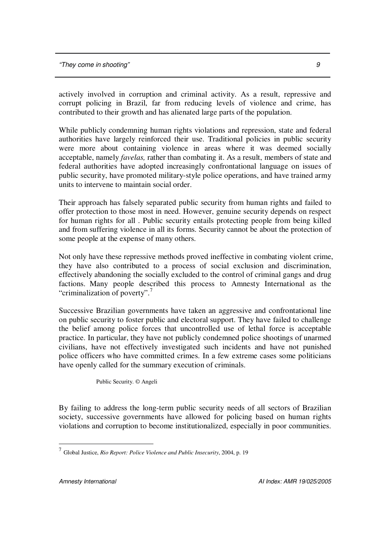actively involved in corruption and criminal activity. As a result, repressive and corrupt policing in Brazil, far from reducing levels of violence and crime, has contributed to their growth and has alienated large parts of the population.

While publicly condemning human rights violations and repression, state and federal authorities have largely reinforced their use. Traditional policies in public security were more about containing violence in areas where it was deemed socially acceptable, namely *favelas,* rather than combating it. As a result, members of state and federal authorities have adopted increasingly confrontational language on issues of public security, have promoted military-style police operations, and have trained army units to intervene to maintain social order.

Their approach has falsely separated public security from human rights and failed to offer protection to those most in need. However, genuine security depends on respect for human rights for all . Public security entails protecting people from being killed and from suffering violence in all its forms. Security cannot be about the protection of some people at the expense of many others.

Not only have these repressive methods proved ineffective in combating violent crime, they have also contributed to a process of social exclusion and discrimination, effectively abandoning the socially excluded to the control of criminal gangs and drug factions. Many people described this process to Amnesty International as the "criminalization of poverty". 7

Successive Brazilian governments have taken an aggressive and confrontational line on public security to foster public and electoral support. They have failed to challenge the belief among police forces that uncontrolled use of lethal force is acceptable practice. In particular, they have not publicly condemned police shootings of unarmed civilians, have not effectively investigated such incidents and have not punished police officers who have committed crimes. In a few extreme cases some politicians have openly called for the summary execution of criminals.

Public Security. © Angeli

By failing to address the long-term public security needs of all sectors of Brazilian society, successive governments have allowed for policing based on human rights violations and corruption to become institutionalized, especially in poor communities.

<sup>7</sup> Global Justice, *Rio Report: Police Violence and Public Insecurity*, 2004, p. 19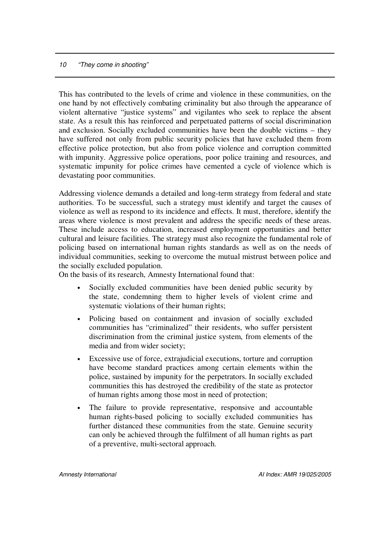This has contributed to the levels of crime and violence in these communities, on the one hand by not effectively combating criminality but also through the appearance of violent alternative "justice systems" and vigilantes who seek to replace the absent state. As a result this has reinforced and perpetuated patterns of social discrimination and exclusion. Socially excluded communities have been the double victims – they have suffered not only from public security policies that have excluded them from effective police protection, but also from police violence and corruption committed with impunity. Aggressive police operations, poor police training and resources, and systematic impunity for police crimes have cemented a cycle of violence which is devastating poor communities.

Addressing violence demands a detailed and long-term strategy from federal and state authorities. To be successful, such a strategy must identify and target the causes of violence as well as respond to its incidence and effects. It must, therefore, identify the areas where violence is most prevalent and address the specific needs of these areas. These include access to education, increased employment opportunities and better cultural and leisure facilities. The strategy must also recognize the fundamental role of policing based on international human rights standards as well as on the needs of individual communities, seeking to overcome the mutual mistrust between police and the socially excluded population.

On the basis of its research, Amnesty International found that:

- Socially excluded communities have been denied public security by the state, condemning them to higher levels of violent crime and systematic violations of their human rights;
- Policing based on containment and invasion of socially excluded communities has "criminalized" their residents, who suffer persistent discrimination from the criminal justice system, from elements of the media and from wider society;
- Excessive use of force, extrajudicial executions, torture and corruption have become standard practices among certain elements within the police, sustained by impunity for the perpetrators. In socially excluded communities this has destroyed the credibility of the state as protector of human rights among those most in need of protection;
- The failure to provide representative, responsive and accountable human rights-based policing to socially excluded communities has further distanced these communities from the state. Genuine security can only be achieved through the fulfilment of all human rights as part of a preventive, multi-sectoral approach.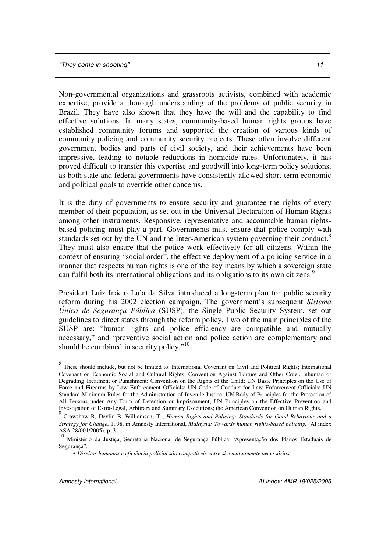Non-governmental organizations and grassroots activists, combined with academic expertise, provide a thorough understanding of the problems of public security in Brazil. They have also shown that they have the will and the capability to find effective solutions. In many states, community-based human rights groups have established community forums and supported the creation of various kinds of community policing and community security projects. These often involve different government bodies and parts of civil society, and their achievements have been impressive, leading to notable reductions in homicide rates. Unfortunately, it has proved difficult to transfer this expertise and goodwill into long-term policy solutions, as both state and federal governments have consistently allowed short-term economic and political goals to override other concerns.

It is the duty of governments to ensure security and guarantee the rights of every member of their population, as set out in the Universal Declaration of Human Rights among other instruments. Responsive, representative and accountable human rightsbased policing must play a part. Governments must ensure that police comply with standards set out by the UN and the Inter-American system governing their conduct.<sup>8</sup> They must also ensure that the police work effectively for all citizens. Within the context of ensuring "social order", the effective deployment of a policing service in a manner that respects human rights is one of the key means by which a sovereign state can fulfil both its international obligations and its obligations to its own citizens.<sup>9</sup>

President Luiz Inácio Lula da Silva introduced a long-term plan for public security reform during his 2002 election campaign. The government's subsequent *Sistema Único de Segurança Pública* (SUSP), the Single Public Security System, set out guidelines to direct states through the reform policy. Two of the main principles of the SUSP are: "human rights and police efficiency are compatible and mutually necessary," and "preventive social action and police action are complementary and should be combined in security policy."<sup>10</sup>

<sup>&</sup>lt;sup>8</sup> These should include, but not be limited to: International Covenant on Civil and Political Rights; International Covenant on Economic Social and Cultural Rights; Convention Against Torture and Other Cruel, Inhuman or Degrading Treatment or Punishment; Convention on the Rights of the Child; UN Basic Principles on the Use of Force and Firearms by Law Enforcement Officials; UN Code of Conduct for Law Enforcement Officials; UN Standard Minimum Rules for the Administration of Juvenile Justice; UN Body of Principles for the Protection of All Persons under Any Form of Detention or Imprisonment; UN Principles on the Effective Prevention and

Investigation of Extra-Legal, Arbitrary and Summary Executions; the American Convention on Human Rights.<br><sup>9</sup> Crawshaw R, Devlin B, Williamson, T, *Human Rights and Policing: Standards for Good Behaviour and a Strategy for Change*, 1998, in Amnesty International, *Malaysia: Towards human rights-based policing,* (AI index ASA 28/001/2005), p. 3.

<sup>10</sup> Ministério da Justiça, Secretaria Nacional de Segurança Pública "Apresentação dos Planos Estaduais de Segurança".

<sup>•</sup> *Direitos humanos e eficiência policial são compatíveis entre si e mutuamente necessários;*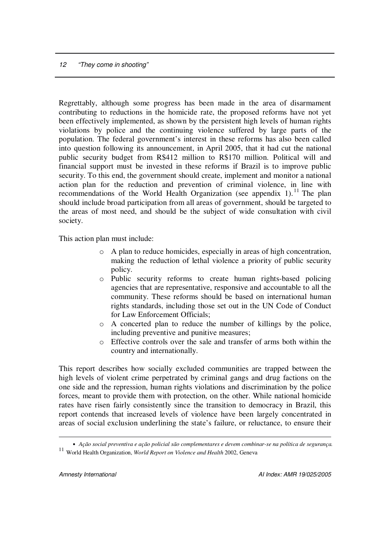Regrettably, although some progress has been made in the area of disarmament contributing to reductions in the homicide rate, the proposed reforms have not yet been effectively implemented, as shown by the persistent high levels of human rights violations by police and the continuing violence suffered by large parts of the population. The federal government's interest in these reforms has also been called into question following its announcement, in April 2005, that it had cut the national public security budget from R\$412 million to R\$170 million. Political will and financial support must be invested in these reforms if Brazil is to improve public security. To this end, the government should create, implement and monitor a national action plan for the reduction and prevention of criminal violence, in line with recommendations of the World Health Organization (see appendix  $1$ ).<sup>11</sup> The plan should include broad participation from all areas of government, should be targeted to the areas of most need, and should be the subject of wide consultation with civil society.

This action plan must include:

- o A plan to reduce homicides, especially in areas of high concentration, making the reduction of lethal violence a priority of public security policy.
- o Public security reforms to create human rights-based policing agencies that are representative, responsive and accountable to all the community. These reforms should be based on international human rights standards, including those set out in the UN Code of Conduct for Law Enforcement Officials;
- o A concerted plan to reduce the number of killings by the police, including preventive and punitive measures;
- o Effective controls over the sale and transfer of arms both within the country and internationally.

This report describes how socially excluded communities are trapped between the high levels of violent crime perpetrated by criminal gangs and drug factions on the one side and the repression, human rights violations and discrimination by the police forces, meant to provide them with protection, on the other. While national homicide rates have risen fairly consistently since the transition to democracy in Brazil, this report contends that increased levels of violence have been largely concentrated in areas of social exclusion underlining the state's failure, or reluctance, to ensure their

<sup>•</sup> *Ação social preventiva e ação policial são complementares e devem combinar-se na política de segurança.* <sup>11</sup> World Health Organization, *World Report on Violence and Health* 2002, Geneva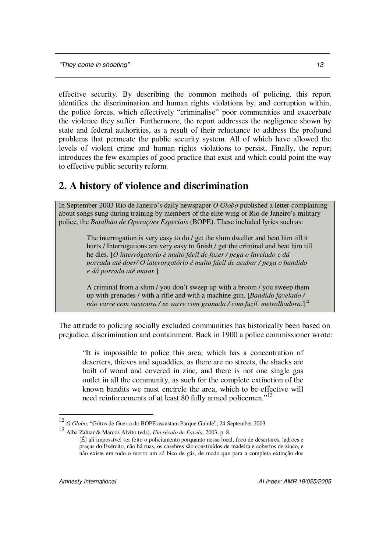effective security. By describing the common methods of policing, this report identifies the discrimination and human rights violations by, and corruption within, the police forces, which effectively "criminalise" poor communities and exacerbate the violence they suffer. Furthermore, the report addresses the negligence shown by state and federal authorities, as a result of their reluctance to address the profound problems that permeate the public security system. All of which have allowed the levels of violent crime and human rights violations to persist. Finally, the report introduces the few examples of good practice that exist and which could point the way to effective public security reform.

# **2. A history of violence and discrimination**

In September 2003 Rio de Janeiro's daily newspaper *O Globo* published a letter complaining about songs sung during training by members of the elite wing of Rio de Janeiro's military police, the *Batalhão de Operações Especiais* (BOPE). These included lyrics such as:

> The interrogation is very easy to do / get the slum dweller and beat him till it hurts / Interrogations are very easy to finish / get the criminal and beat him till he dies. [*O interrógatorio é muito fácil de fazer / pega o favelado e dá porrada até doer/ O interorgatório é muito fácil de acabar / pega o bandido e dá porrada até matar*.]

A criminal from a slum / you don't sweep up with a broom / you sweep them up with grenades / with a rifle and with a machine gun. [*Bandido favelado / não varre com vassoura / se varre com granada / com fuzil, metralhadora*.] 12

The attitude to policing socially excluded communities has historically been based on prejudice, discrimination and containment. Back in 1900 a police commissioner wrote:

"It is impossible to police this area, which has a concentration of deserters, thieves and squaddies, as there are no streets, the shacks are built of wood and covered in zinc, and there is not one single gas outlet in all the community, as such for the complete extinction of the known bandits we must encircle the area, which to be effective will need reinforcements of at least 80 fully armed policemen."<sup>13</sup>

<sup>12</sup> *O Globo,* "Gritos de Guerra do BOPE assustam Parque Guinle", 24 September 2003.

<sup>13</sup> Alba Zaluar & Marcos Alvito (eds), *Um século de Favela*, 2003, p. 8.

<sup>[</sup>É] ali impossível ser feito o policiamento porquanto nesse local, foco de desertores, ladrões e praças do Exército, não há ruas, os casebres são construídos de madeira e cobertos de zinco, e não existe em todo o morro um só bico de gás, de modo que para a completa extinção dos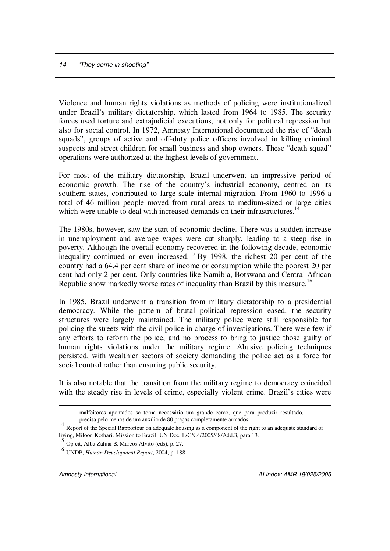Violence and human rights violations as methods of policing were institutionalized under Brazil's military dictatorship, which lasted from 1964 to 1985. The security forces used torture and extrajudicial executions, not only for political repression but also for social control. In 1972, Amnesty International documented the rise of "death squads", groups of active and off-duty police officers involved in killing criminal suspects and street children for small business and shop owners. These "death squad" operations were authorized at the highest levels of government.

For most of the military dictatorship, Brazil underwent an impressive period of economic growth. The rise of the country's industrial economy, centred on its southern states, contributed to large-scale internal migration. From 1960 to 1996 a total of 46 million people moved from rural areas to medium-sized or large cities which were unable to deal with increased demands on their infrastructures.<sup>14</sup>

The 1980s, however, saw the start of economic decline. There was a sudden increase in unemployment and average wages were cut sharply, leading to a steep rise in poverty. Although the overall economy recovered in the following decade, economic inequality continued or even increased.<sup>15</sup> By 1998, the richest 20 per cent of the country had a 64.4 per cent share of income or consumption while the poorest 20 per cent had only 2 per cent. Only countries like Namibia, Botswana and Central African Republic show markedly worse rates of inequality than Brazil by this measure.<sup>16</sup>

In 1985, Brazil underwent a transition from military dictatorship to a presidential democracy. While the pattern of brutal political repression eased, the security structures were largely maintained. The military police were still responsible for policing the streets with the civil police in charge of investigations. There were few if any efforts to reform the police, and no process to bring to justice those guilty of human rights violations under the military regime. Abusive policing techniques persisted, with wealthier sectors of society demanding the police act as a force for social control rather than ensuring public security.

It is also notable that the transition from the military regime to democracy coincided with the steady rise in levels of crime, especially violent crime. Brazil's cities were

malfeitores apontados se torna necessário um grande cerco, que para produzir resultado, precisa pelo menos de um auxílio de 80 praças completamente armados.

<sup>&</sup>lt;sup>14</sup> Report of the Special Rapporteur on adequate housing as a component of the right to an adequate standard of living, Miloon Kothari. Mission to Brazil. UN Doc. E/CN.4/2005/48/Add.3, para.13.

<sup>15</sup> Op cit, Alba Zaluar & Marcos Alvito (eds), p. 27.

<sup>16</sup> UNDP, *Human Development Report*, 2004, p. 188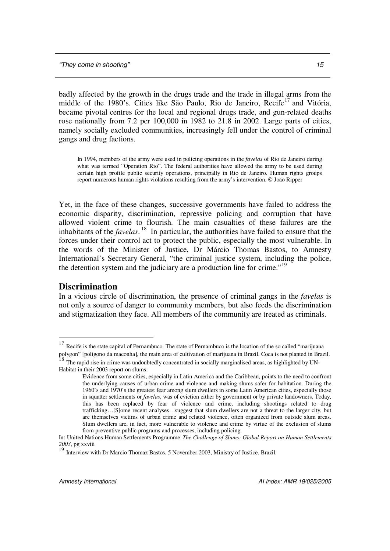badly affected by the growth in the drugs trade and the trade in illegal arms from the middle of the 1980's. Cities like São Paulo, Rio de Janeiro, Recife 17 and Vitória, became pivotal centres for the local and regional drugs trade, and gun-related deaths rose nationally from 7.2 per 100,000 in 1982 to 21.8 in 2002. Large parts of cities, namely socially excluded communities, increasingly fell under the control of criminal gangs and drug factions.

In 1994, members of the army were used in policing operations in the *favelas* of Rio de Janeiro during what was termed "Operation Rio". The federal authorities have allowed the army to be used during certain high profile public security operations, principally in Rio de Janeiro. Human rights groups report numerous human rights violations resulting from the army's intervention. © João Ripper

Yet, in the face of these changes, successive governments have failed to address the economic disparity, discrimination, repressive policing and corruption that have allowed violent crime to flourish. The main casualties of these failures are the inhabitants of the *favelas*. 18 In particular, the authorities have failed to ensure that the forces under their control act to protect the public, especially the most vulnerable. In the words of the Minister of Justice, Dr Márcio Thomas Bastos, to Amnesty International's Secretary General, "the criminal justice system, including the police, the detention system and the judiciary are a production line for crime."<sup>19</sup>

### **Discrimination**

In a vicious circle of discrimination, the presence of criminal gangs in the *favelas* is not only a source of danger to community members, but also feeds the discrimination and stigmatization they face. All members of the community are treated as criminals.

<sup>&</sup>lt;sup>17</sup> Recife is the state capital of Pernambuco. The state of Pernambuco is the location of the so called "marijuana" polygon" [poligono da maconha], the main area of cultivation of marijuana in Brazil. Coca is not planted in Brazil. 18

The rapid rise in crime was undoubtedly concentrated in socially marginalised areas, as highlighted by UN-

Habitat in their 2003 report on slums:

Evidence from some cities, especially in Latin America and the Caribbean, points to the need to confront the underlying causes of urban crime and violence and making slums safer for habitation. During the 1960's and 1970's the greatest fear among slum dwellers in some Latin American cities, especially those in squatter settlements or *favelas*, was of eviction either by government or by private landowners. Today, this has been replaced by fear of violence and crime, including shootings related to drug trafficking…[S]ome recent analyses…suggest that slum dwellers are not a threat to the larger city, but are themselves victims of urban crime and related violence, often organized from outside slum areas. Slum dwellers are, in fact, more vulnerable to violence and crime by virtue of the exclusion of slums from preventive public programs and processes, including policing.

In: United Nations Human Settlements Programme *The Challenge of Slums: Global Report on Human Settlements 2003*, pg xxviii 19

Interview with Dr Marcio Thomaz Bastos, 5 November 2003, Ministry of Justice, Brazil.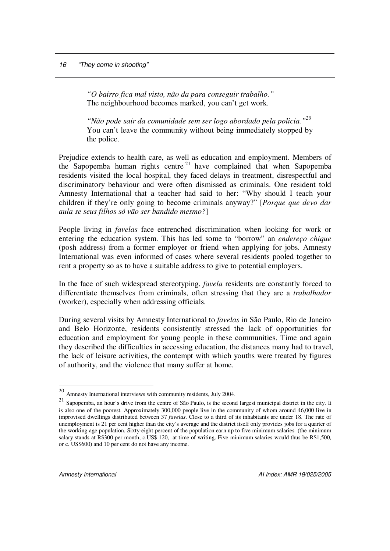*"O bairro fica mal visto, não da para conseguir trabalho."* The neighbourhood becomes marked, you can't get work.

*"Não pode sair da comunidade sem ser logo abordado pela policia." 20* You can't leave the community without being immediately stopped by the police.

Prejudice extends to health care, as well as education and employment. Members of the Sapopemba human rights centre<sup>21</sup> have complained that when Sapopemba residents visited the local hospital, they faced delays in treatment, disrespectful and discriminatory behaviour and were often dismissed as criminals. One resident told Amnesty International that a teacher had said to her: "Why should I teach your children if they're only going to become criminals anyway?" [*Porque que devo dar aula se seus filhos só vão ser bandido mesmo?*]

People living in *favelas* face entrenched discrimination when looking for work or entering the education system. This has led some to "borrow" an *endereço chique* (posh address) from a former employer or friend when applying for jobs. Amnesty International was even informed of cases where several residents pooled together to rent a property so as to have a suitable address to give to potential employers.

In the face of such widespread stereotyping, *favela* residents are constantly forced to differentiate themselves from criminals, often stressing that they are a *trabalhador* (worker), especially when addressing officials.

During several visits by Amnesty International to *favelas* in São Paulo, Rio de Janeiro and Belo Horizonte, residents consistently stressed the lack of opportunities for education and employment for young people in these communities. Time and again they described the difficulties in accessing education, the distances many had to travel, the lack of leisure activities, the contempt with which youths were treated by figures of authority, and the violence that many suffer at home.

<sup>&</sup>lt;sup>20</sup> Amnesty International interviews with community residents, July 2004.

 $21$  Sapopemba, an hour's drive from the centre of São Paulo, is the second largest municipal district in the city. It is also one of the poorest. Approximately 300,000 people live in the community of whom around 46,000 live in improvised dwellings distributed between 37 *favelas*. Close to a third of its inhabitants are under 18. The rate of unemployment is 21 per cent higher than the city's average and the district itself only provides jobs for a quarter of the working age population. Sixty-eight percent of the population earn up to five minimum salaries (the minimum salary stands at R\$300 per month, c.US\$ 120, at time of writing. Five minimum salaries would thus be R\$1,500, or c. US\$600) and 10 per cent do not have any income.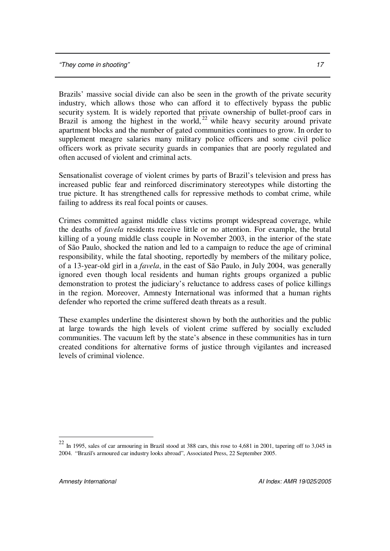Brazils' massive social divide can also be seen in the growth of the private security industry, which allows those who can afford it to effectively bypass the public security system. It is widely reported that private ownership of bullet-proof cars in Brazil is among the highest in the world,  $22$  while heavy security around private apartment blocks and the number of gated communities continues to grow. In order to supplement meagre salaries many military police officers and some civil police officers work as private security guards in companies that are poorly regulated and often accused of violent and criminal acts.

Sensationalist coverage of violent crimes by parts of Brazil's television and press has increased public fear and reinforced discriminatory stereotypes while distorting the true picture. It has strengthened calls for repressive methods to combat crime, while failing to address its real focal points or causes.

Crimes committed against middle class victims prompt widespread coverage, while the deaths of *favela* residents receive little or no attention. For example, the brutal killing of a young middle class couple in November 2003, in the interior of the state of São Paulo, shocked the nation and led to a campaign to reduce the age of criminal responsibility, while the fatal shooting, reportedly by members of the military police, of a 13-year-old girl in a *favela*, in the east of São Paulo, in July 2004, was generally ignored even though local residents and human rights groups organized a public demonstration to protest the judiciary's reluctance to address cases of police killings in the region. Moreover, Amnesty International was informed that a human rights defender who reported the crime suffered death threats as a result.

These examples underline the disinterest shown by both the authorities and the public at large towards the high levels of violent crime suffered by socially excluded communities. The vacuum left by the state's absence in these communities has in turn created conditions for alternative forms of justice through vigilantes and increased levels of criminal violence.

 $^{22}$  In 1995, sales of car armouring in Brazil stood at 388 cars, this rose to 4,681 in 2001, tapering off to 3,045 in 2004. "Brazil's armoured car industry looks abroad", Associated Press, 22 September 2005.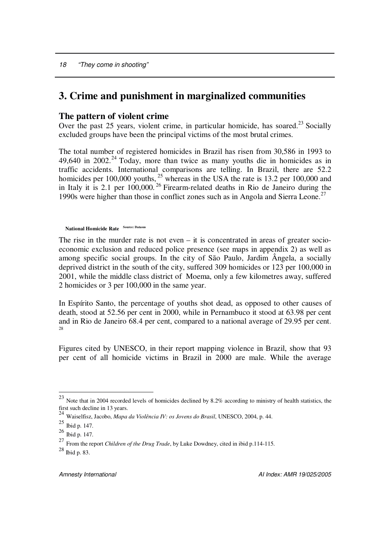# **3. Crime and punishment in marginalized communities**

# **The pattern of violent crime**

Over the past 25 years, violent crime, in particular homicide, has soared.<sup>23</sup> Socially excluded groups have been the principal victims of the most brutal crimes.

The total number of registered homicides in Brazil has risen from 30,586 in 1993 to  $49,640$  in  $2002.<sup>24</sup>$  Today, more than twice as many youths die in homicides as in traffic accidents. International comparisons are telling. In Brazil, there are 52.2 homicides per 100,000 youths, <sup>25</sup> whereas in the USA the rate is 13.2 per 100,000 and in Italy it is 2.1 per  $100,000$ .<sup>26</sup> Firearm-related deaths in Rio de Janeiro during the 1990s were higher than those in conflict zones such as in Angola and Sierra Leone. 27

```
National Homicide Rate
Source: Datasus
```
The rise in the murder rate is not even – it is concentrated in areas of greater socioeconomic exclusion and reduced police presence (see maps in appendix 2) as well as among specific social groups. In the city of São Paulo, Jardim Ângela, a socially deprived district in the south of the city, suffered 309 homicides or 123 per 100,000 in 2001, while the middle class district of Moema, only a few kilometres away, suffered 2 homicides or 3 per 100,000 in the same year.

In Espírito Santo, the percentage of youths shot dead, as opposed to other causes of death, stood at 52.56 per cent in 2000, while in Pernambuco it stood at 63.98 per cent and in Rio de Janeiro 68.4 per cent, compared to a national average of 29.95 per cent. 28

Figures cited by UNESCO, in their report mapping violence in Brazil, show that 93 per cent of all homicide victims in Brazil in 2000 are male. While the average

 $^{23}$  Note that in 2004 recorded levels of homicides declined by 8.2% according to ministry of health statistics, the first such decline in 13 years.

<sup>24</sup> Waiselfisz, Jacobo, *Mapa da Violência IV: os Jovens do Brasil*, UNESCO, 2004, p. 44.

<sup>25</sup> Ibid p. 147.

<sup>26</sup> Ibid p. 147.

<sup>27</sup> From the report *Children of the Drug Trade*, by Luke Dowdney, cited in ibid p.114-115.

<sup>28</sup> Ibid p. 83.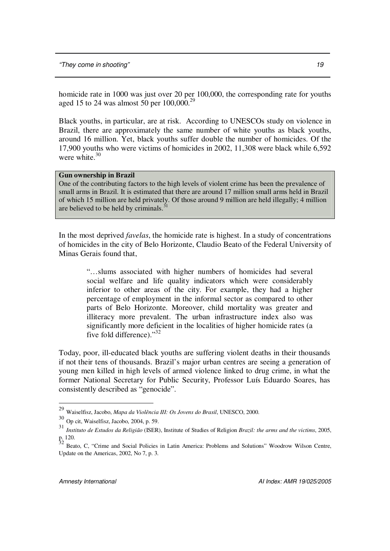homicide rate in 1000 was just over 20 per 100,000, the corresponding rate for youths aged 15 to 24 was almost 50 per  $100,000$ .<sup>29</sup>

Black youths, in particular, are at risk. According to UNESCOs study on violence in Brazil, there are approximately the same number of white youths as black youths, around 16 million. Yet, black youths suffer double the number of homicides. Of the 17,900 youths who were victims of homicides in 2002, 11,308 were black while 6,592 were white. 30

### **Gun ownership in Brazil**

One of the contributing factors to the high levels of violent crime has been the prevalence of small arms in Brazil. It is estimated that there are around 17 million small arms held in Brazil of which 15 million are held privately. Of those around 9 million are held illegally; 4 million are believed to be held by criminals. $31$ 

In the most deprived *favelas*, the homicide rate is highest. In a study of concentrations of homicides in the city of Belo Horizonte, Claudio Beato of the Federal University of Minas Gerais found that,

"…slums associated with higher numbers of homicides had several social welfare and life quality indicators which were considerably inferior to other areas of the city. For example, they had a higher percentage of employment in the informal sector as compared to other parts of Belo Horizonte. Moreover, child mortality was greater and illiteracy more prevalent. The urban infrastructure index also was significantly more deficient in the localities of higher homicide rates (a five fold difference)."<sup>32</sup>

Today, poor, ill-educated black youths are suffering violent deaths in their thousands if not their tens of thousands. Brazil's major urban centres are seeing a generation of young men killed in high levels of armed violence linked to drug crime, in what the former National Secretary for Public Security, Professor Luís Eduardo Soares, has consistently described as "genocide".

<sup>29</sup> Waiselfisz, Jacobo, *Mapa da Violência III: Os Jovens do Brasil*, UNESCO, 2000.

 $30$  Op cit, Waiselfisz, Jacobo, 2004, p. 59.

<sup>31</sup> *Instituto de Estudos da Religião* (ISER), Institute of Studies of Religion *Brazil: the arms and the victims*, 2005, p. 120.<br><sup>32</sup> Beato, C, "Crime and Social Policies in Latin America: Problems and Solutions" Woodrow Wilson Centre,

Update on the Americas, 2002, No 7, p. 3.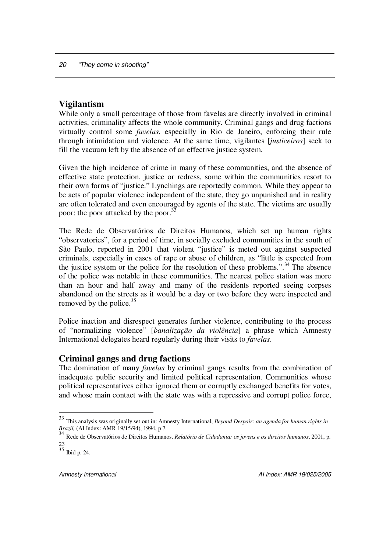# **Vigilantism**

While only a small percentage of those from favelas are directly involved in criminal activities, criminality affects the whole community. Criminal gangs and drug factions virtually control some *favelas*, especially in Rio de Janeiro, enforcing their rule through intimidation and violence. At the same time, vigilantes [*justiceiros*] seek to fill the vacuum left by the absence of an effective justice system.

Given the high incidence of crime in many of these communities, and the absence of effective state protection, justice or redress, some within the communities resort to their own forms of "justice." Lynchings are reportedly common. While they appear to be acts of popular violence independent of the state, they go unpunished and in reality are often tolerated and even encouraged by agents of the state. The victims are usually poor: the poor attacked by the poor.<sup>33</sup>

The Rede de Observatórios de Direitos Humanos, which set up human rights "observatories", for a period of time, in socially excluded communities in the south of São Paulo, reported in 2001 that violent "justice" is meted out against suspected criminals, especially in cases of rape or abuse of children, as "little is expected from the justice system or the police for the resolution of these problems.".<sup>34</sup> The absence of the police was notable in these communities. The nearest police station was more than an hour and half away and many of the residents reported seeing corpses abandoned on the streets as it would be a day or two before they were inspected and removed by the police.<sup>35</sup>

Police inaction and disrespect generates further violence, contributing to the process of "normalizing violence" [*banalização da violência*] a phrase which Amnesty International delegates heard regularly during their visits to *favelas*.

# **Criminal gangs and drug factions**

The domination of many *favelas* by criminal gangs results from the combination of inadequate public security and limited political representation. Communities whose political representatives either ignored them or corruptly exchanged benefits for votes, and whose main contact with the state was with a repressive and corrupt police force,

<sup>33</sup> This analysis was originally set out in: Amnesty International, *Beyond Despair: an agenda for human rights in Brazil,* (AI Index: AMR 19/15/94), 1994, p 7.

<sup>34</sup> Rede de Observatórios de Direitos Humanos, *Relatório de Cidadania: os jovens e os direitos humanos*, 2001, p. 23<br><sup>35</sup> Ibid p. 24.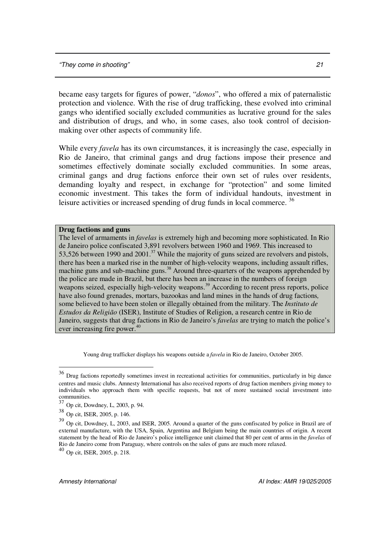became easy targets for figures of power, "*donos*", who offered a mix of paternalistic protection and violence. With the rise of drug trafficking, these evolved into criminal gangs who identified socially excluded communities as lucrative ground for the sales and distribution of drugs, and who, in some cases, also took control of decisionmaking over other aspects of community life.

While every *favela* has its own circumstances, it is increasingly the case, especially in Rio de Janeiro, that criminal gangs and drug factions impose their presence and sometimes effectively dominate socially excluded communities. In some areas, criminal gangs and drug factions enforce their own set of rules over residents, demanding loyalty and respect, in exchange for "protection" and some limited economic investment. This takes the form of individual handouts, investment in leisure activities or increased spending of drug funds in local commerce.<sup>36</sup>

#### **Drug factions and guns**

The level of armaments in *favelas* is extremely high and becoming more sophisticated. In Rio de Janeiro police confiscated 3,891 revolvers between 1960 and 1969. This increased to 53,526 between 1990 and 2001.<sup>37</sup> While the majority of guns seized are revolvers and pistols, there has been a marked rise in the number of high-velocity weapons, including assault rifles, machine guns and sub-machine guns.<sup>38</sup> Around three-quarters of the weapons apprehended by the police are made in Brazil, but there has been an increase in the numbers of foreign weapons seized, especially high-velocity weapons.<sup>39</sup> According to recent press reports, police have also found grenades, mortars, bazookas and land mines in the hands of drug factions*,* some believed to have been stolen or illegally obtained from the military. The *Instituto de Estudos da Religião* (ISER), Institute of Studies of Religion, a research centre in Rio de Janeiro, suggests that drug factions in Rio de Janeiro's *favelas* are trying to match the police's ever increasing fire power. 40

Young drug trafficker displays his weapons outside a *favela* in Rio de Janeiro, October 2005.

<sup>&</sup>lt;sup>36</sup> Drug factions reportedly sometimes invest in recreational activities for communities, particularly in big dance centres and music clubs. Amnesty International has also received reports of drug faction members giving money to individuals who approach them with specific requests, but not of more sustained social investment into communities.

<sup>37</sup> Op cit, Dowdney, L, 2003, p. 94.

<sup>38</sup> Op cit, ISER, 2005, p. 146.

<sup>&</sup>lt;sup>39</sup> Op cit, Dowdney, L, 2003, and ISER, 2005. Around a quarter of the guns confiscated by police in Brazil are of external manufacture, with the USA, Spain, Argentina and Belgium being the main countries of origin. A recent statement by the head of Rio de Janeiro's police intelligence unit claimed that 80 per cent of arms in the *favelas* of Rio de Janeiro come from Paraguay, where controls on the sales of guns are much more relaxed.

<sup>40</sup> Op cit, ISER, 2005, p. 218.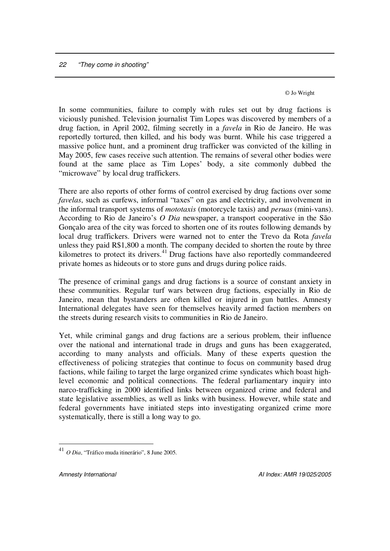© Jo Wright

In some communities, failure to comply with rules set out by drug factions is viciously punished. Television journalist Tim Lopes was discovered by members of a drug faction, in April 2002, filming secretly in a *favela* in Rio de Janeiro. He was reportedly tortured, then killed, and his body was burnt. While his case triggered a massive police hunt, and a prominent drug trafficker was convicted of the killing in May 2005, few cases receive such attention. The remains of several other bodies were found at the same place as Tim Lopes' body, a site commonly dubbed the "microwave" by local drug traffickers.

There are also reports of other forms of control exercised by drug factions over some *favelas*, such as curfews, informal "taxes" on gas and electricity, and involvement in the informal transport systems of *mototaxis* (motorcycle taxis) and *peruas* (mini-vans). According to Rio de Janeiro's *O Dia* newspaper, a transport cooperative in the São Gonçalo area of the city was forced to shorten one of its routes following demands by local drug traffickers. Drivers were warned not to enter the Trevo da Rota *favela* unless they paid R\$1,800 a month. The company decided to shorten the route by three kilometres to protect its drivers.<sup>41</sup> Drug factions have also reportedly commandeered private homes as hideouts or to store guns and drugs during police raids.

The presence of criminal gangs and drug factions is a source of constant anxiety in these communities. Regular turf wars between drug factions, especially in Rio de Janeiro, mean that bystanders are often killed or injured in gun battles. Amnesty International delegates have seen for themselves heavily armed faction members on the streets during research visits to communities in Rio de Janeiro.

Yet, while criminal gangs and drug factions are a serious problem, their influence over the national and international trade in drugs and guns has been exaggerated, according to many analysts and officials. Many of these experts question the effectiveness of policing strategies that continue to focus on community based drug factions, while failing to target the large organized crime syndicates which boast highlevel economic and political connections. The federal parliamentary inquiry into narco-trafficking in 2000 identified links between organized crime and federal and state legislative assemblies, as well as links with business. However, while state and federal governments have initiated steps into investigating organized crime more systematically, there is still a long way to go.

<sup>41</sup> *O Dia*, "Tráfico muda itinerário", 8 June 2005.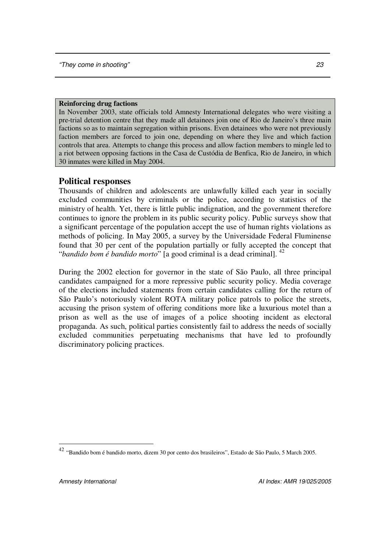### **Reinforcing drug factions**

In November 2003, state officials told Amnesty International delegates who were visiting a pre-trial detention centre that they made all detainees join one of Rio de Janeiro's three main factions so as to maintain segregation within prisons. Even detainees who were not previously faction members are forced to join one, depending on where they live and which faction controls that area. Attempts to change this process and allow faction members to mingle led to a riot between opposing factions in the Casa de Custódia de Benfica, Rio de Janeiro, in which 30 inmates were killed in May 2004.

# **Political responses**

Thousands of children and adolescents are unlawfully killed each year in socially excluded communities by criminals or the police, according to statistics of the ministry of health. Yet, there is little public indignation, and the government therefore continues to ignore the problem in its public security policy. Public surveys show that a significant percentage of the population accept the use of human rights violations as methods of policing. In May 2005, a survey by the Universidade Federal Fluminense found that 30 per cent of the population partially or fully accepted the concept that "*bandido bom é bandido morto*" [a good criminal is a dead criminal]. 42

During the 2002 election for governor in the state of São Paulo, all three principal candidates campaigned for a more repressive public security policy. Media coverage of the elections included statements from certain candidates calling for the return of São Paulo's notoriously violent ROTA military police patrols to police the streets, accusing the prison system of offering conditions more like a luxurious motel than a prison as well as the use of images of a police shooting incident as electoral propaganda. As such, political parties consistently fail to address the needs of socially excluded communities perpetuating mechanisms that have led to profoundly discriminatory policing practices.

<sup>42</sup> "Bandido bom é bandido morto, dizem 30 por cento dos brasileiros", Estado de São Paulo, 5 March 2005.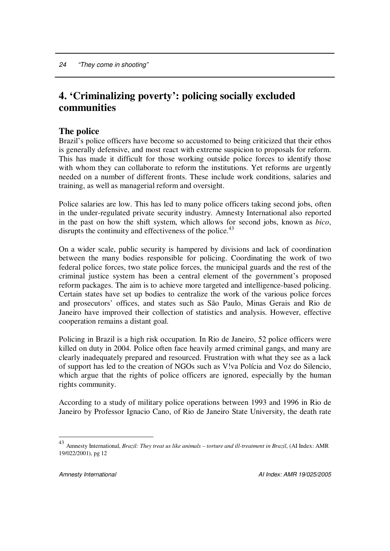# **4. 'Criminalizing poverty': policing socially excluded communities**

# **The police**

Brazil's police officers have become so accustomed to being criticized that their ethos is generally defensive, and most react with extreme suspicion to proposals for reform. This has made it difficult for those working outside police forces to identify those with whom they can collaborate to reform the institutions. Yet reforms are urgently needed on a number of different fronts. These include work conditions, salaries and training, as well as managerial reform and oversight.

Police salaries are low. This has led to many police officers taking second jobs, often in the under-regulated private security industry. Amnesty International also reported in the past on how the shift system, which allows for second jobs, known as *bico*, disrupts the continuity and effectiveness of the police.<sup>43</sup>

On a wider scale, public security is hampered by divisions and lack of coordination between the many bodies responsible for policing. Coordinating the work of two federal police forces, two state police forces, the municipal guards and the rest of the criminal justice system has been a central element of the government's proposed reform packages. The aim is to achieve more targeted and intelligence-based policing. Certain states have set up bodies to centralize the work of the various police forces and prosecutors' offices, and states such as São Paulo, Minas Gerais and Rio de Janeiro have improved their collection of statistics and analysis. However, effective cooperation remains a distant goal.

Policing in Brazil is a high risk occupation. In Rio de Janeiro, 52 police officers were killed on duty in 2004. Police often face heavily armed criminal gangs, and many are clearly inadequately prepared and resourced. Frustration with what they see as a lack of support has led to the creation of NGOs such as V!va Polícia and Voz do Silencio, which argue that the rights of police officers are ignored, especially by the human rights community.

According to a study of military police operations between 1993 and 1996 in Rio de Janeiro by Professor Ignacio Cano, of Rio de Janeiro State University, the death rate

<sup>43</sup> Amnesty International, *Brazil: They treat us like animals – torture and ill-treatment in Brazil*, (AI Index: AMR 19/022/2001), pg 12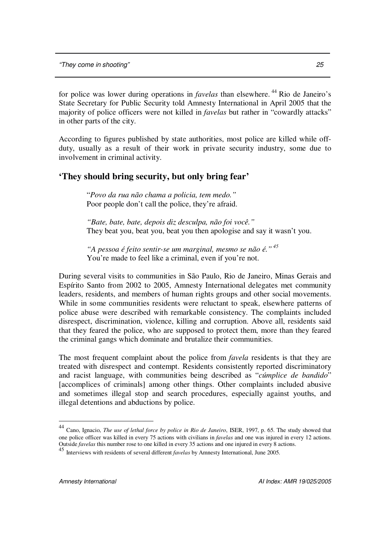for police was lower during operations in *favelas* than elsewhere. <sup>44</sup> Rio de Janeiro's State Secretary for Public Security told Amnesty International in April 2005 that the majority of police officers were not killed in *favelas* but rather in "cowardly attacks" in other parts of the city.

According to figures published by state authorities, most police are killed while offduty, usually as a result of their work in private security industry, some due to involvement in criminal activity.

# **'They should bring security, but only bring fear'**

"*Povo da rua não chama a policia, tem medo."* Poor people don't call the police, they're afraid.

*"Bate, bate, bate, depois diz desculpa, não foi você."* They beat you, beat you, beat you then apologise and say it wasn't you.

*"A pessoa é feito sentir-se um marginal, mesmo se não é." 45* You're made to feel like a criminal, even if you're not.

During several visits to communities in São Paulo, Rio de Janeiro, Minas Gerais and Espírito Santo from 2002 to 2005, Amnesty International delegates met community leaders, residents, and members of human rights groups and other social movements. While in some communities residents were reluctant to speak, elsewhere patterns of police abuse were described with remarkable consistency. The complaints included disrespect, discrimination, violence, killing and corruption. Above all, residents said that they feared the police, who are supposed to protect them, more than they feared the criminal gangs which dominate and brutalize their communities.

The most frequent complaint about the police from *favela* residents is that they are treated with disrespect and contempt. Residents consistently reported discriminatory and racist language, with communities being described as "*cúmplice de bandido*" [accomplices of criminals] among other things. Other complaints included abusive and sometimes illegal stop and search procedures, especially against youths, and illegal detentions and abductions by police.

<sup>44</sup> Cano, Ignacio, *The use of lethal force by police in Rio de Janeiro*, ISER, 1997, p. 65. The study showed that one police officer was killed in every 75 actions with civilians in *favelas* and one was injured in every 12 actions. Outside *favelas* this number rose to one killed in every 35 actions and one injured in every 8 actions.<br><sup>45</sup> Little in the state of the seal life and life and favel and the state of the state of the state of the state of

Interviews with residents of several different *favelas* by Amnesty International, June 2005.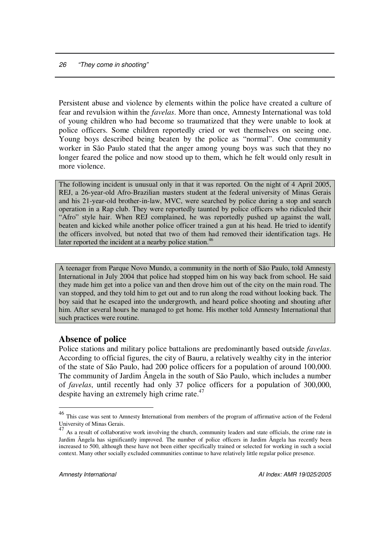Persistent abuse and violence by elements within the police have created a culture of fear and revulsion within the *favelas*. More than once, Amnesty International was told of young children who had become so traumatized that they were unable to look at police officers. Some children reportedly cried or wet themselves on seeing one. Young boys described being beaten by the police as "normal". One community worker in São Paulo stated that the anger among young boys was such that they no longer feared the police and now stood up to them, which he felt would only result in more violence.

The following incident is unusual only in that it was reported. On the night of 4 April 2005, REJ, a 26-year-old Afro-Brazilian masters student at the federal university of Minas Gerais and his 21-year-old brother-in-law, MVC, were searched by police during a stop and search operation in a Rap club. They were reportedly taunted by police officers who ridiculed their "Afro" style hair. When REJ complained, he was reportedly pushed up against the wall, beaten and kicked while another police officer trained a gun at his head. He tried to identify the officers involved, but noted that two of them had removed their identification tags. He later reported the incident at a nearby police station.<sup>46</sup>

A teenager from Parque Novo Mundo, a community in the north of São Paulo, told Amnesty International in July 2004 that police had stopped him on his way back from school. He said they made him get into a police van and then drove him out of the city on the main road. The van stopped, and they told him to get out and to run along the road without looking back. The boy said that he escaped into the undergrowth, and heard police shooting and shouting after him. After several hours he managed to get home. His mother told Amnesty International that such practices were routine.

# **Absence of police**

Police stations and military police battalions are predominantly based outside *favelas*. According to official figures, the city of Bauru, a relatively wealthy city in the interior of the state of São Paulo, had 200 police officers for a population of around 100,000. The community of Jardim Ângela in the south of São Paulo, which includes a number of *favelas*, until recently had only 37 police officers for a population of 300,000, despite having an extremely high crime rate.<sup>47</sup>

<sup>&</sup>lt;sup>46</sup> This case was sent to Amnesty International from members of the program of affirmative action of the Federal University of Minas Gerais.

<sup>&</sup>lt;sup>47</sup> As a result of collaborative work involving the church, community leaders and state officials, the crime rate in Jardim Ângela has significantly improved. The number of police officers in Jardim Ângela has recently been increased to 500, although these have not been either specifically trained or selected for working in such a social context. Many other socially excluded communities continue to have relatively little regular police presence.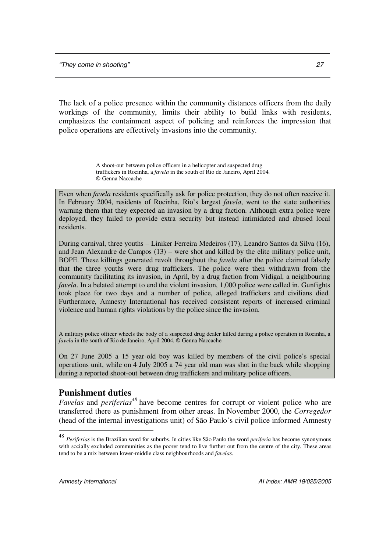The lack of a police presence within the community distances officers from the daily workings of the community, limits their ability to build links with residents, emphasizes the containment aspect of policing and reinforces the impression that police operations are effectively invasions into the community.

> A shoot-out between police officers in a helicopter and suspected drug traffickers in Rocinha, a *favela* in the south of Rio de Janeiro, April 2004. © Genna Naccache

Even when *favela* residents specifically ask for police protection, they do not often receive it. In February 2004, residents of Rocinha, Rio's largest *favela*, went to the state authorities warning them that they expected an invasion by a drug faction. Although extra police were deployed, they failed to provide extra security but instead intimidated and abused local residents.

During carnival, three youths – Liniker Ferreira Medeiros (17), Leandro Santos da Silva (16), and Jean Alexandre de Campos (13) – were shot and killed by the elite military police unit, BOPE. These killings generated revolt throughout the *favela* after the police claimed falsely that the three youths were drug traffickers. The police were then withdrawn from the community facilitating its invasion, in April, by a drug faction from Vidigal, a neighbouring *favela*. In a belated attempt to end the violent invasion, 1,000 police were called in. Gunfights took place for two days and a number of police, alleged traffickers and civilians died. Furthermore, Amnesty International has received consistent reports of increased criminal violence and human rights violations by the police since the invasion.

A military police officer wheels the body of a suspected drug dealer killed during a police operation in Rocinha, a *favela* in the south of Rio de Janeiro, April 2004. © Genna Naccache

On 27 June 2005 a 15 year-old boy was killed by members of the civil police's special operations unit, while on 4 July 2005 a 74 year old man was shot in the back while shopping during a reported shoot-out between drug traffickers and military police officers.

# **Punishment duties**

*Favelas* and *periferias*<sup>48</sup> have become centres for corrupt or violent police who are transferred there as punishment from other areas. In November 2000, the *Corregedor* (head of the internal investigations unit) of São Paulo's civil police informed Amnesty

<sup>48</sup> *Periferias* is the Brazilian word for suburbs. In cities like São Paulo the word *periferia* has become synonymous with socially excluded communities as the poorer tend to live further out from the centre of the city. These areas tend to be a mix between lower-middle class neighbourhoods and *favelas.*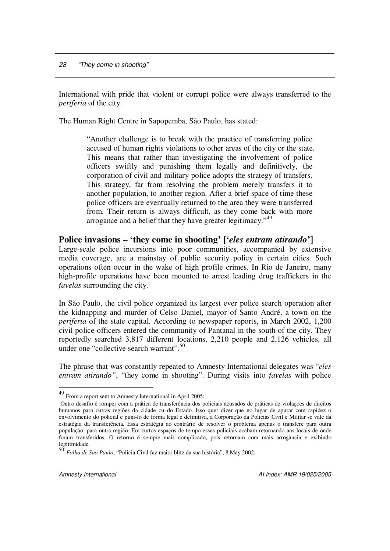International with pride that violent or corrupt police were always transferred to the *periferia* of the city.

The Human Right Centre in Sapopemba, São Paulo, has stated:

"Another challenge is to break with the practice of transferring police accused of human rights violations to other areas of the city or the state. This means that rather than investigating the involvement of police officers swiftly and punishing them legally and definitively, the corporation of civil and military police adopts the strategy of transfers. This strategy, far from resolving the problem merely transfers it to another population, to another region. After a brief space of time these police officers are eventually returned to the area they were transferred from. Their return is always difficult, as they come back with more arrogance and a belief that they have greater legitimacy."<sup>49</sup>

### **Police invasions – 'they come in shooting' ['***eles entram atirando***']**

Large-scale police incursions into poor communities, accompanied by extensive media coverage, are a mainstay of public security policy in certain cities. Such operations often occur in the wake of high profile crimes. In Rio de Janeiro, many high-profile operations have been mounted to arrest leading drug traffickers in the *favelas* surrounding the city.

In São Paulo, the civil police organized its largest ever police search operation after the kidnapping and murder of Celso Daniel, mayor of Santo André, a town on the *periferia* of the state capital. According to newspaper reports, in March 2002, 1,200 civil police officers entered the community of Pantanal in the south of the city. They reportedly searched 3,817 different locations, 2,210 people and 2,126 vehicles, all under one "collective search warrant". 50

The phrase that was constantly repeated to Amnesty International delegates was "*eles entram atirando"*, "they come in shooting". During visits into *favelas* with police

<sup>49</sup> From a report sent to Amnesty International in April 2005:

Outro desafio é romper com a prática de transferência dos policiais acusados de práticas de violações de direitos humanos para outras regiões da cidade ou do Estado. Isso quer dizer que no lugar de apurar com rapidez o envolvimento do policial e puni-lo de forma legal e definitiva, a Corporação da Policias Civil e Militar se vale da estratégia da transferência. Essa estratégia ao contrário de resolver o problema apenas o transfere para outra população, para outra região. Em curtos espaços de tempo esses policiais acabam retornando aos locais de onde foram transferidos. O retorno é sempre mais complicado, pois retornam com mais arrogância e exibindo legitimidade.<br><sup>50</sup> E *II* 

*Folha de São Paulo*, "Policia Civil faz maior blitz da sua história", 8 May 2002.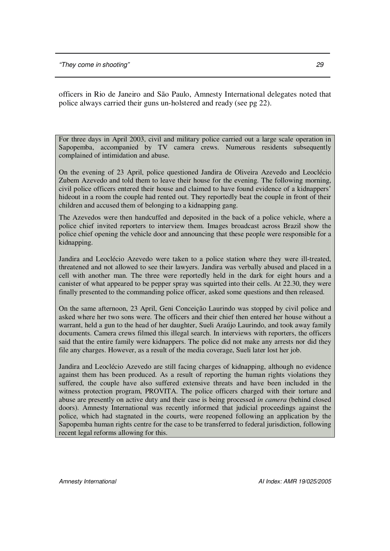officers in Rio de Janeiro and São Paulo, Amnesty International delegates noted that police always carried their guns un-holstered and ready (see pg 22).

For three days in April 2003, civil and military police carried out a large scale operation in Sapopemba, accompanied by TV camera crews. Numerous residents subsequently complained of intimidation and abuse.

On the evening of 23 April, police questioned Jandira de Oliveira Azevedo and Leoclécio Zubem Azevedo and told them to leave their house for the evening. The following morning, civil police officers entered their house and claimed to have found evidence of a kidnappers' hideout in a room the couple had rented out. They reportedly beat the couple in front of their children and accused them of belonging to a kidnapping gang.

The Azevedos were then handcuffed and deposited in the back of a police vehicle, where a police chief invited reporters to interview them. Images broadcast across Brazil show the police chief opening the vehicle door and announcing that these people were responsible for a kidnapping.

Jandira and Leoclécio Azevedo were taken to a police station where they were ill-treated, threatened and not allowed to see their lawyers. Jandira was verbally abused and placed in a cell with another man. The three were reportedly held in the dark for eight hours and a canister of what appeared to be pepper spray was squirted into their cells. At 22.30, they were finally presented to the commanding police officer, asked some questions and then released.

On the same afternoon, 23 April, Geni Conceição Laurindo was stopped by civil police and asked where her two sons were. The officers and their chief then entered her house without a warrant, held a gun to the head of her daughter, Sueli Araújo Laurindo, and took away family documents. Camera crews filmed this illegal search. In interviews with reporters, the officers said that the entire family were kidnappers. The police did not make any arrests nor did they file any charges. However, as a result of the media coverage, Sueli later lost her job.

Jandira and Leoclécio Azevedo are still facing charges of kidnapping, although no evidence against them has been produced. As a result of reporting the human rights violations they suffered, the couple have also suffered extensive threats and have been included in the witness protection program, PROVITA. The police officers charged with their torture and abuse are presently on active duty and their case is being processed *in camera* (behind closed doors). Amnesty International was recently informed that judicial proceedings against the police, which had stagnated in the courts, were reopened following an application by the Sapopemba human rights centre for the case to be transferred to federal jurisdiction, following recent legal reforms allowing for this.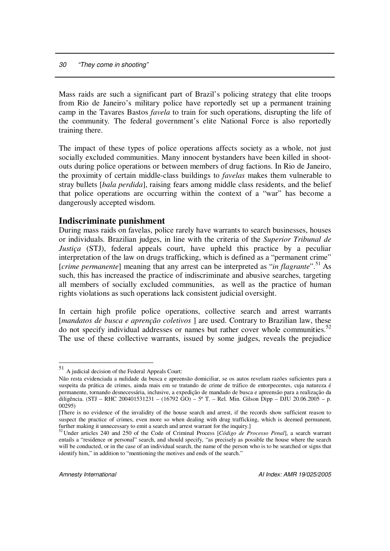Mass raids are such a significant part of Brazil's policing strategy that elite troops from Rio de Janeiro's military police have reportedly set up a permanent training camp in the Tavares Bastos *favela* to train for such operations, disrupting the life of the community*.* The federal government's elite National Force is also reportedly training there.

The impact of these types of police operations affects society as a whole, not just socially excluded communities. Many innocent bystanders have been killed in shootouts during police operations or between members of drug factions. In Rio de Janeiro, the proximity of certain middle-class buildings to *favelas* makes them vulnerable to stray bullets [*bala perdida*], raising fears among middle class residents, and the belief that police operations are occurring within the context of a "war" has become a dangerously accepted wisdom.

### **Indiscriminate punishment**

During mass raids on favelas, police rarely have warrants to search businesses, houses or individuals. Brazilian judges, in line with the criteria of the *Superior Tribunal de Justiça* (STJ), federal appeals court, have upheld this practice by a peculiar interpretation of the law on drugs trafficking, which is defined as a "permanent crime" [*crime permanente*] meaning that any arrest can be interpreted as "*in flagrante*". <sup>51</sup> As such, this has increased the practice of indiscriminate and abusive searches, targeting all members of socially excluded communities, as well as the practice of human rights violations as such operations lack consistent judicial oversight.

In certain high profile police operations, collective search and arrest warrants [*mandatos de busca e aprenção coletivos* ] are used. Contrary to Brazilian law, these do not specify individual addresses or names but rather cover whole communities.<sup>52</sup> The use of these collective warrants, issued by some judges, reveals the prejudice

<sup>51</sup> A judicial decision of the Federal Appeals Court:

Não resta evidenciada a nulidade da busca e apreensão domiciliar, se os autos revelam razões suficientes para a suspeita da prática de crimes, ainda mais em se tratando de crime de tráfico de entorpecentes, cuja natureza é permanente, tornando desnecessária, inclusive, a expedição de mandado de busca e apreensão para a realização da diligência. (STJ – RHC 200401531231 – (16792 GO) – 5ª T. – Rel. Min. Gilson Dipp – DJU 20.06.2005 – p. 00295)

<sup>[</sup>There is no evidence of the invalidity of the house search and arrest, if the records show sufficient reason to suspect the practice of crimes, even more so when dealing with drug trafficking, which is deemed permanent, further making it unnecessary to emit a search and arrest warrant for the inquiry.

<sup>52</sup> Under articles 240 and 250 of the Code of Criminal Process [*Código de Processo Penal*], a search warrant entails a "residence or personal" search, and should specify, "as precisely as possible the house where the search will be conducted, or in the case of an individual search, the name of the person who is to be searched or signs that identify him," in addition to "mentioning the motives and ends of the search."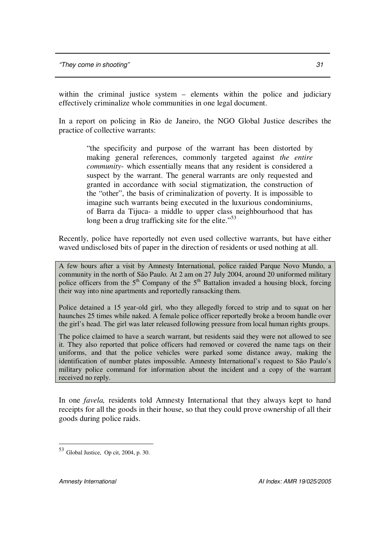within the criminal justice system – elements within the police and judiciary effectively criminalize whole communities in one legal document.

In a report on policing in Rio de Janeiro, the NGO Global Justice describes the practice of collective warrants:

> "the specificity and purpose of the warrant has been distorted by making general references, commonly targeted against *the entire community*- which essentially means that any resident is considered a suspect by the warrant. The general warrants are only requested and granted in accordance with social stigmatization, the construction of the "other", the basis of criminalization of poverty. It is impossible to imagine such warrants being executed in the luxurious condominiums, of Barra da Tijuca- a middle to upper class neighbourhood that has long been a drug trafficking site for the elite."<sup>53</sup>

Recently, police have reportedly not even used collective warrants, but have either waved undisclosed bits of paper in the direction of residents or used nothing at all.

A few hours after a visit by Amnesty International, police raided Parque Novo Mundo, a community in the north of São Paulo. At 2 am on 27 July 2004, around 20 uniformed military police officers from the  $5<sup>th</sup>$  Company of the  $5<sup>th</sup>$  Battalion invaded a housing block, forcing their way into nine apartments and reportedly ransacking them.

Police detained a 15 year-old girl, who they allegedly forced to strip and to squat on her haunches 25 times while naked. A female police officer reportedly broke a broom handle over the girl's head. The girl was later released following pressure from local human rights groups.

The police claimed to have a search warrant, but residents said they were not allowed to see it. They also reported that police officers had removed or covered the name tags on their uniforms, and that the police vehicles were parked some distance away, making the identification of number plates impossible. Amnesty International's request to São Paulo's military police command for information about the incident and a copy of the warrant received no reply.

In one *favela,* residents told Amnesty International that they always kept to hand receipts for all the goods in their house, so that they could prove ownership of all their goods during police raids.

<sup>53</sup> Global Justice, Op cit, 2004, p. 30.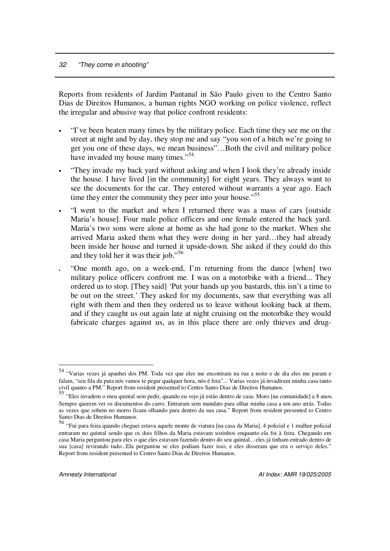Reports from residents of Jardim Pantanal in São Paulo given to the Centro Santo Dias de Direitos Humanos, a human rights NGO working on police violence, reflect the irregular and abusive way that police confront residents:

- "I've been beaten many times by the military police. Each time they see me on the street at night and by day, they stop me and say "you son of a bitch we're going to get you one of these days, we mean business"…Both the civil and military police have invaded my house many times."<sup>54</sup>
- "They invade my back yard without asking and when I look they're already inside the house. I have lived [in the community] for eight years. They always want to see the documents for the car. They entered without warrants a year ago. Each time they enter the community they peer into your house."<sup>55</sup>
- "I went to the market and when I returned there was a mass of cars [outside Maria's house]. Four male police officers and one female entered the back yard. Maria's two sons were alone at home as she had gone to the market. When she arrived Maria asked them what they were doing in her yard…they had already been inside her house and turned it upside-down. She asked if they could do this and they told her it was their job."<sup>56</sup>
- "One month ago, on a week-end, I'm returning from the dance [when] two military police officers confront me. I was on a motorbike with a friend... They ordered us to stop. [They said] 'Put your hands up you bastards, this isn't a time to be out on the street.' They asked for my documents, saw that everything was all right with them and then they ordered us to leave without looking back at them, and if they caught us out again late at night cruising on the motorbike they would fabricate charges against us, as in this place there are only thieves and drug-

<sup>54</sup> "Varias vezes já apanhei dos PM. Toda vez que eles me encontram na rua a noite e de dia eles me param e falam, "seu fila da puta nós vamos te pegar qualquer hora, nós é fera"... Varias vezes já invadiram minha casa tanto civil quanto a PM." Report from resident presented to Centro Santo Dias de Direitos Humanos.<br><sup>55</sup> "Eles invadem o meu quintal sem pedir, quando eu vejo já estão dentro de casa. Moro [na comunidade] a 8 anos.

Sempre querem ver os documentos do carro. Entraram sem mandato para olhar minha casa a um ano atrás. Todas as vezes que sobem no morro ficam olhando para dentro da sua casa." Report from resident presented to Centro

Santo Dias de Direitos Humanos.<br><sup>56</sup> "Fui para feira quando cheguei estava aquele monte de viatura [na casa da Maria]. 4 policial e 1 mulher policial entraram no quintal sendo que os dois filhos da Maria estavam sozinhos enquanto ela foi à feira. Chegando em casa Maria perguntou para eles o que eles estavam fazendo dentro do seu quintal... eles já tinham entrado dentro de sua [casa] revirando tudo...Ela perguntou se eles podiam fazer isso, e eles disseram que era o serviço deles." Report from resident presented to Centro Santo Dias de Direitos Humanos.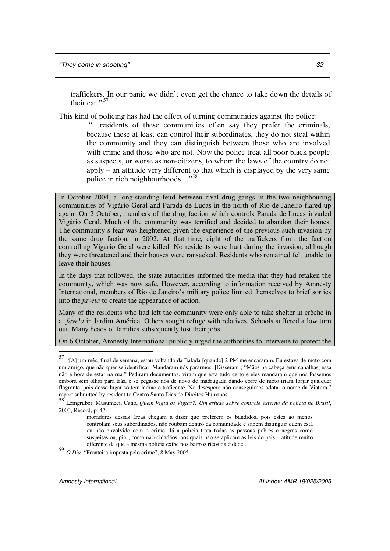traffickers. In our panic we didn't even get the chance to take down the details of their car."<sup>57</sup>

This kind of policing has had the effect of turning communities against the police:

"…residents of these communities often say they prefer the criminals, because these at least can control their subordinates, they do not steal within the community and they can distinguish between those who are involved with crime and those who are not. Now the police treat all poor black people as suspects, or worse as non-citizens, to whom the laws of the country do not apply – an attitude very different to that which is displayed by the very same police in rich neighbourhoods…" 58

In October 2004, a long-standing feud between rival drug gangs in the two neighbouring communities of Vigário Geral and Parada de Lucas in the north of Rio de Janeiro flared up again. On 2 October, members of the drug faction which controls Parada de Lucas invaded Vigário Geral. Much of the community was terrified and decided to abandon their homes. The community's fear was heightened given the experience of the previous such invasion by the same drug faction, in 2002. At that time, eight of the traffickers from the faction controlling Vigário Geral were killed. No residents were hurt during the invasion, although they were threatened and their houses were ransacked. Residents who remained felt unable to leave their houses.

In the days that followed, the state authorities informed the media that they had retaken the community, which was now safe. However, according to information received by Amnesty International, members of Rio de Janeiro's military police limited themselves to brief sorties into the *favela* to create the appearance of action.

Many of the residents who had left the community were only able to take shelter in crèche in a *favela* in Jardim América. Others sought refuge with relatives. Schools suffered a low turn out. Many heads of families subsequently lost their jobs.

On 6 October, Amnesty International publicly urged the authorities to intervene to protect the

59 *O Dia*, "Fronteira imposta pelo crime", 8 May 2005.

<sup>57</sup> "[A] um mês, final de semana, estou voltando da Balada [quando] 2 PM me encararam. Eu estava de moto com um amigo, que não quer se identificar. Mandaram nós pararmos. [Disseram], "Mãos na cabeça seus canalhas, essa não é hora de estar na rua." Pediram documentos, viram que esta tudo certo e eles mandaram que nós fossemos embora sem olhar para trás, e se pegasse nós de novo de madrugada dando corre de moto iriam forjar qualquer flagrante, pois desse lugar só tem ladrão e traficante. No desespero não conseguimos adotar o nome da Viatura." report submitted by resident to Centro Santo Dias de Direitos Humanos.<br>58 Januarie: Museumeri, Cana, Quant Visita es Visita de Llucatude.

Lemgruber, Musumeci, Cano, *Quem Vigia os Vigias?: Um estudo sobre controle externo da polícia no Brasil*, 2003, Record, p. 47.

moradores dessas áreas chegam a dizer que preferem os bandidos, pois estes ao menos controlam seus subordinados, não roubam dentro da comunidade e sabem distinguir quem está ou não envolvido com o crime. Já a polícia trata todas as pessoas pobres e negras como suspeitas ou, pior, como não-cidadãos, aos quais não se aplicam as leis do pais – atitude muito diferente da que a mesma polícia exibe nos bairros ricos da cidade...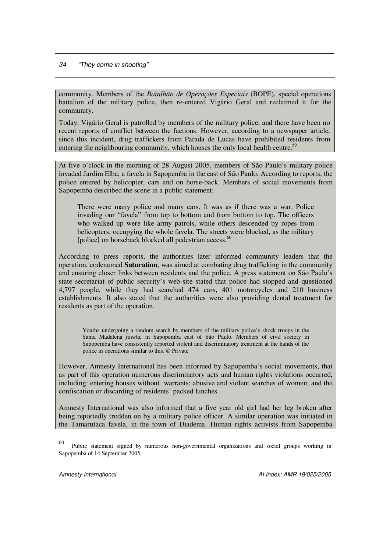community. Members of the *Batalhão de Operações Especiais* (BOPE), special operations battalion of the military police, then re-entered Vigário Geral and reclaimed it for the community.

Today, Vigário Geral is patrolled by members of the military police, and there have been no recent reports of conflict between the factions. However, according to a newspaper article, since this incident, drug traffickers from Parada de Lucas have prohibited residents from entering the neighbouring community, which houses the only local health centre.<sup>59</sup>

At five o'clock in the morning of 28 August 2005, members of São Paulo's military police invaded Jardim Elba, a favela in Sapopemba in the east of São Paulo. According to reports, the police entered by helicopter, cars and on horse-back. Members of social movements from Sapopemba described the scene in a public statement:

There were many police and many cars. It was as if there was a war. Police invading our "favela" from top to bottom and from bottom to top. The officers who walked up were like army patrols, while others descended by ropes from helicopters, occupying the whole favela. The streets were blocked, as the military [police] on horseback blocked all pedestrian access.<sup>60</sup>

According to press reports, the authorities later informed community leaders that the operation, codenamed **Saturation**, was aimed at combating drug trafficking in the community and ensuring closer links between residents and the police. A press statement on São Paulo's state secretariat of public security's web-site stated that police had stopped and questioned 4,797 people, while they had searched 474 cars, 401 motorcycles and 210 business establishments. It also stated that the authorities were also providing dental treatment for residents as part of the operation.

Youths undergoing a random search by members of the military police's shock troops in the Santa Madalena *favela,* in Sapopemba east of São Paulo. Members of civil society in Sapopemba have consistently reported violent and discriminatory treatment at the hands of the police in operations similar to this. © Private

However, Amnesty International has been informed by Sapopemba's social movements, that as part of this operation numerous discriminatory acts and human rights violations occurred, including: entering houses without warrants; abusive and violent searches of women; and the confiscation or discarding of residents' packed lunches.

Amnesty International was also informed that a five year old girl had her leg broken after being reportedly trodden on by a military police officer. A similar operation was initiated in the Tamarutaca favela, in the town of Diadema. Human rights activists from Sapopemba

<sup>60</sup> Public statement signed by numerous non-governmental organizations and social groups working in Sapopemba of 14 September 2005.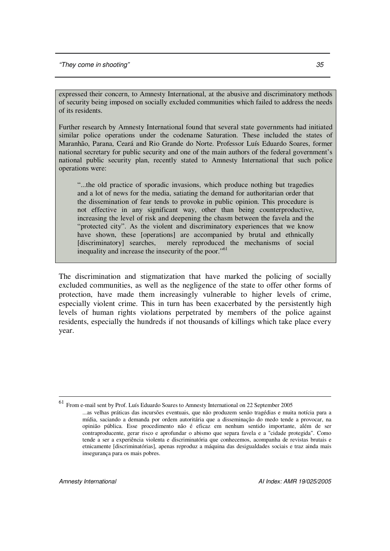expressed their concern, to Amnesty International, at the abusive and discriminatory methods of security being imposed on socially excluded communities which failed to address the needs of its residents.

Further research by Amnesty International found that several state governments had initiated similar police operations under the codename Saturation. These included the states of Maranhão, Parana, Ceará and Rio Grande do Norte. Professor Luís Eduardo Soares, former national secretary for public security and one of the main authors of the federal government's national public security plan, recently stated to Amnesty International that such police operations were:

"...the old practice of sporadic invasions, which produce nothing but tragedies and a lot of news for the media, satiating the demand for authoritarian order that the dissemination of fear tends to provoke in public opinion. This procedure is not effective in any significant way, other than being counterproductive, increasing the level of risk and deepening the chasm between the favela and the "protected city". As the violent and discriminatory experiences that we know have shown, these [operations] are accompanied by brutal and ethnically [discriminatory] searches, merely reproduced the mechanisms of social inequality and increase the insecurity of the poor."<sup>61</sup>

The discrimination and stigmatization that have marked the policing of socially excluded communities, as well as the negligence of the state to offer other forms of protection, have made them increasingly vulnerable to higher levels of crime, especially violent crime. This in turn has been exacerbated by the persistently high levels of human rights violations perpetrated by members of the police against residents, especially the hundreds if not thousands of killings which take place every year.

<sup>61</sup> From e-mail sent by Prof. Luís Eduardo Soares to Amnesty International on 22 September 2005

<sup>...</sup>as velhas práticas das incursões eventuais, que não produzem senão tragédias e muita notícia para a mídia, saciando a demanda por ordem autoritária que a disseminação do medo tende a provocar, na opinião pública. Esse procedimento não é eficaz em nenhum sentido importante, além de ser contraproducente, gerar risco e aprofundar o abismo que separa favela e a "cidade protegida". Como tende a ser a experiência violenta e discriminatória que conhecemos, acompanha de revistas brutais e etnicamente [discriminatórias], apenas reproduz a máquina das desigualdades sociais e traz ainda mais insegurança para os mais pobres.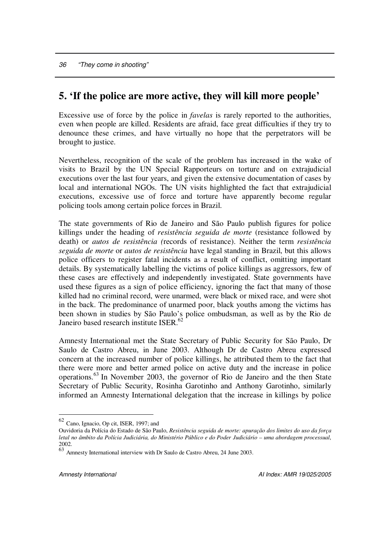# **5. 'If the police are more active, they will kill more people'**

Excessive use of force by the police in *favelas* is rarely reported to the authorities, even when people are killed. Residents are afraid, face great difficulties if they try to denounce these crimes, and have virtually no hope that the perpetrators will be brought to justice.

Nevertheless, recognition of the scale of the problem has increased in the wake of visits to Brazil by the UN Special Rapporteurs on torture and on extrajudicial executions over the last four years, and given the extensive documentation of cases by local and international NGOs. The UN visits highlighted the fact that extrajudicial executions, excessive use of force and torture have apparently become regular policing tools among certain police forces in Brazil.

The state governments of Rio de Janeiro and São Paulo publish figures for police killings under the heading of *resistência seguida de morte* (resistance followed by death) or *autos de resistência (*records of resistance). Neither the term *resistência seguida de morte* or *autos de resistência* have legal standing in Brazil, but this allows police officers to register fatal incidents as a result of conflict, omitting important details. By systematically labelling the victims of police killings as aggressors, few of these cases are effectively and independently investigated. State governments have used these figures as a sign of police efficiency, ignoring the fact that many of those killed had no criminal record, were unarmed, were black or mixed race, and were shot in the back. The predominance of unarmed poor, black youths among the victims has been shown in studies by São Paulo's police ombudsman, as well as by the Rio de Janeiro based research institute ISER.<sup>62</sup>

Amnesty International met the State Secretary of Public Security for São Paulo, Dr Saulo de Castro Abreu, in June 2003. Although Dr de Castro Abreu expressed concern at the increased number of police killings, he attributed them to the fact that there were more and better armed police on active duty and the increase in police operations. 63 In November 2003, the governor of Rio de Janeiro and the then State Secretary of Public Security, Rosinha Garotinho and Anthony Garotinho, similarly informed an Amnesty International delegation that the increase in killings by police

<sup>62</sup> Cano, Ignacio, Op cit, ISER, 1997; and

Ouvidoria da Polícia do Estado de São Paulo, *Resistência seguida de morte: apuração dos limites do uso da força* letal no âmbito da Polícia Judiciária, do Ministério Público e do Poder Judiciário - uma abordagem processual, 2002.<br>63

Amnesty International interview with Dr Saulo de Castro Abreu, 24 June 2003.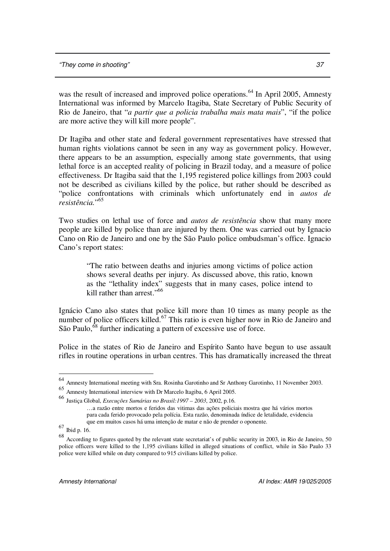was the result of increased and improved police operations.<sup>64</sup> In April 2005, Amnesty International was informed by Marcelo Itagiba, State Secretary of Public Security of Rio de Janeiro, that "*a partir que a policia trabalha mais mata mais*", "if the police are more active they will kill more people".

Dr Itagiba and other state and federal government representatives have stressed that human rights violations cannot be seen in any way as government policy. However, there appears to be an assumption, especially among state governments, that using lethal force is an accepted reality of policing in Brazil today, and a measure of police effectiveness. Dr Itagiba said that the 1,195 registered police killings from 2003 could not be described as civilians killed by the police, but rather should be described as "police confrontations with criminals which unfortunately end in *autos de resistência.*" 65

Two studies on lethal use of force and *autos de resistência* show that many more people are killed by police than are injured by them. One was carried out by Ignacio Cano on Rio de Janeiro and one by the São Paulo police ombudsman's office. Ignacio Cano's report states:

"The ratio between deaths and injuries among victims of police action shows several deaths per injury. As discussed above, this ratio, known as the "lethality index" suggests that in many cases, police intend to kill rather than arrest."<sup>66</sup>

Ignácio Cano also states that police kill more than 10 times as many people as the number of police officers killed.<sup>67</sup> This ratio is even higher now in Rio de Janeiro and São Paulo, <sup>68</sup> further indicating a pattern of excessive use of force.

Police in the states of Rio de Janeiro and Espírito Santo have begun to use assault rifles in routine operations in urban centres. This has dramatically increased the threat

<sup>64</sup> Amnesty International meeting with Sra. Rosinha Garotinho and Sr Anthony Garotinho, 11 November 2003.

<sup>65</sup> Amnesty International interview with Dr Marcelo Itagiba, 6 April 2005.

<sup>66</sup> Justiça Global, *Execuções Sumárias no Brasil:1997 – 2003*, 2002, p.16.

<sup>…</sup>a razão entre mortos e feridos das vitimas das ações policiais mostra que há vários mortos para cada ferido provocado pela polícia. Esta razão, denominada índice de letalidade, evidencia que em muitos casos há uma intenção de matar e não de prender o oponente.

<sup>67</sup> Ibid p. 16.

<sup>68</sup> According to figures quoted by the relevant state secretariat's of public security in 2003, in Rio de Janeiro, 50 police officers were killed to the 1,195 civilians killed in alleged situations of conflict, while in São Paulo 33 police were killed while on duty compared to 915 civilians killed by police.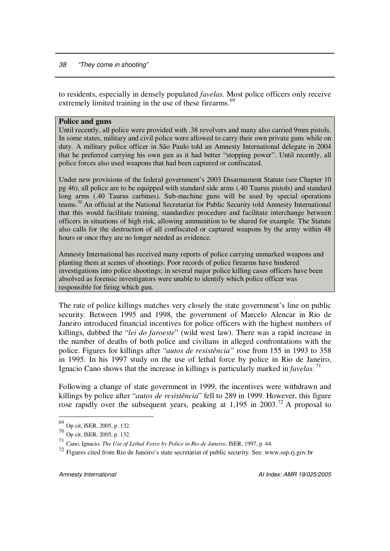to residents, especially in densely populated *favelas*. Most police officers only receive extremely limited training in the use of these firearms.<sup>69</sup>

### **Police and guns**

Until recently, all police were provided with .38 revolvers and many also carried 9mm pistols. In some states, military and civil police were allowed to carry their own private guns while on duty. A military police officer in São Paulo told an Amnesty International delegate in 2004 that he preferred carrying his own gun as it had better "stopping power". Until recently, all police forces also used weapons that had been captured or confiscated.

Under new provisions of the federal government's 2003 Disarmament Statute (see Chapter 10 pg 46), all police are to be equipped with standard side arms (.40 Taurus pistols) and standard long arms (.40 Taurus carbines). Sub-machine guns will be used by special operations teams.<sup>70</sup> An official at the National Secretariat for Public Security told Amnesty International that this would facilitate training, standardize procedure and facilitate interchange between officers in situations of high risk, allowing ammunition to be shared for example. The Statute also calls for the destruction of all confiscated or captured weapons by the army within 48 hours or once they are no longer needed as evidence.

Amnesty International has received many reports of police carrying unmarked weapons and planting them at scenes of shootings. Poor records of police firearms have hindered investigations into police shootings; in several major police killing cases officers have been absolved as forensic investigators were unable to identify which police officer was responsible for firing which gun.

The rate of police killings matches very closely the state government's line on public security. Between 1995 and 1998, the government of Marcelo Alencar in Rio de Janeiro introduced financial incentives for police officers with the highest numbers of killings, dubbed the "*lei do faroeste*" (wild west law). There was a rapid increase in the number of deaths of both police and civilians in alleged confrontations with the police. Figures for killings after "*autos de resistência"* rose from 155 in 1993 to 358 in 1995. In his 1997 study on the use of lethal force by police in Rio de Janeiro, Ignacio Cano shows that the increase in killings is particularly marked in *favelas*. 71

Following a change of state government in 1999, the incentives were withdrawn and killings by police after "*autos de resistência*" fell to 289 in 1999. However, this figure rose rapidly over the subsequent years, peaking at 1,195 in 2003.<sup>72</sup> A proposal to

<sup>69</sup> Op cit, ISER, 2005, p. 132.

<sup>70</sup> Op cit, ISER, 2005, p. 132.

<sup>71</sup> Cano, Ignacio, *The Use of Lethal Force by Police in Rio de Janeiro*, ISER, 1997, p. 44.

 $72$  Figures cited from Rio de Janeiro's state secretariat of public security. See: www.ssp.rj.gov.br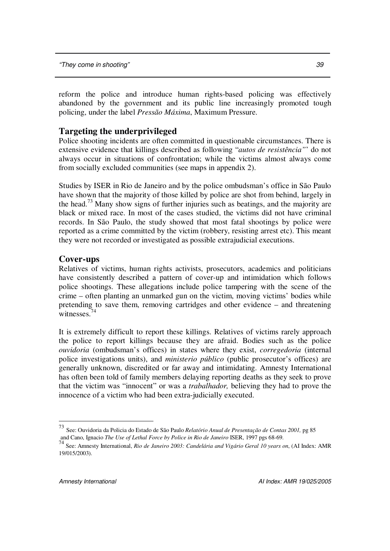reform the police and introduce human rights-based policing was effectively abandoned by the government and its public line increasingly promoted tough policing, under the label *Pressão Máxima*, Maximum Pressure.

# **Targeting the underprivileged**

Police shooting incidents are often committed in questionable circumstances. There is extensive evidence that killings described as following "*autos de resistência"*' do not always occur in situations of confrontation; while the victims almost always come from socially excluded communities (see maps in appendix 2).

Studies by ISER in Rio de Janeiro and by the police ombudsman's office in São Paulo have shown that the majority of those killed by police are shot from behind, largely in the head.<sup>73</sup> Many show signs of further injuries such as beatings, and the majority are black or mixed race. In most of the cases studied, the victims did not have criminal records. In São Paulo, the study showed that most fatal shootings by police were reported as a crime committed by the victim (robbery, resisting arrest etc). This meant they were not recorded or investigated as possible extrajudicial executions.

# **Cover-ups**

Relatives of victims, human rights activists, prosecutors, academics and politicians have consistently described a pattern of cover-up and intimidation which follows police shootings. These allegations include police tampering with the scene of the crime – often planting an unmarked gun on the victim, moving victims' bodies while pretending to save them, removing cartridges and other evidence – and threatening witnesses. 74

It is extremely difficult to report these killings. Relatives of victims rarely approach the police to report killings because they are afraid. Bodies such as the police *ouvidoria* (ombudsman's offices) in states where they exist, *corregedoria* (internal police investigations units), and *ministerio público* (public prosecutor's offices) are generally unknown, discredited or far away and intimidating. Amnesty International has often been told of family members delaying reporting deaths as they seek to prove that the victim was "innocent" or was a *trabalhador,* believing they had to prove the innocence of a victim who had been extra-judicially executed.

<sup>73</sup> See: Ouvidoria da Policia do Estado de São Paulo *Relatório Anual de Presentação de Contas 2001,* pg 85

and Cano, Ignacio The Use of Lethal Force by Police in Rio de Janeiro ISER, 1997 pgs 68-69.<br><sup>74</sup> See: Amnesty International, Rio de Janeiro 2003: Candelária and Vigário Geral 10 years on, (AI Index: AMR 19/015/2003).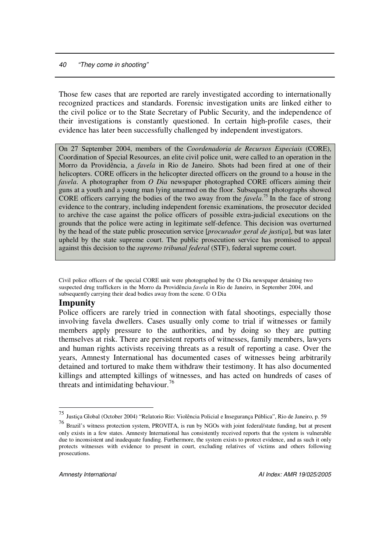Those few cases that are reported are rarely investigated according to internationally recognized practices and standards. Forensic investigation units are linked either to the civil police or to the State Secretary of Public Security, and the independence of their investigations is constantly questioned. In certain high-profile cases, their evidence has later been successfully challenged by independent investigators.

On 27 September 2004, members of the *Coordenadoria de Recursos Especiais* (CORE), Coordination of Special Resources, an elite civil police unit, were called to an operation in the Morro da Providência, a *favela* in Rio de Janeiro. Shots had been fired at one of their helicopters. CORE officers in the helicopter directed officers on the ground to a house in the *favela*. A photographer from *O Dia* newspaper photographed CORE officers aiming their guns at a youth and a young man lying unarmed on the floor. Subsequent photographs showed CORE officers carrying the bodies of the two away from the *favela*. 75 In the face of strong evidence to the contrary, including independent forensic examinations, the prosecutor decided to archive the case against the police officers of possible extra-judicial executions on the grounds that the police were acting in legitimate self-defence. This decision was overturned by the head of the state public prosecution service [*procurador geral de justiça*], but was later upheld by the state supreme court. The public prosecution service has promised to appeal against this decision to the *supremo tribunal federal* (STF), federal supreme court.

Civil police officers of the special CORE unit were photographed by the O Dia newspaper detaining two suspected drug traffickers in the Morro da Providência *favela* in Rio de Janeiro, in September 2004, and subsequently carrying their dead bodies away from the scene. © O Dia

# **Impunity**

Police officers are rarely tried in connection with fatal shootings, especially those involving favela dwellers. Cases usually only come to trial if witnesses or family members apply pressure to the authorities, and by doing so they are putting themselves at risk. There are persistent reports of witnesses, family members, lawyers and human rights activists receiving threats as a result of reporting a case. Over the years, Amnesty International has documented cases of witnesses being arbitrarily detained and tortured to make them withdraw their testimony. It has also documented killings and attempted killings of witnesses, and has acted on hundreds of cases of threats and intimidating behaviour. 76

<sup>75</sup> Justiça Global (October 2004) "Relatorio Rio: Violência Policial e Insegurança Pública", Rio de Janeiro, p. 59

<sup>&</sup>lt;sup>76</sup> Brazil's witness protection system, PROVITA, is run by NGOs with joint federal/state funding, but at present only exists in a few states. Amnesty International has consistently received reports that the system is vulnerable due to inconsistent and inadequate funding. Furthermore, the system exists to protect evidence, and as such it only protects witnesses with evidence to present in court, excluding relatives of victims and others following prosecutions.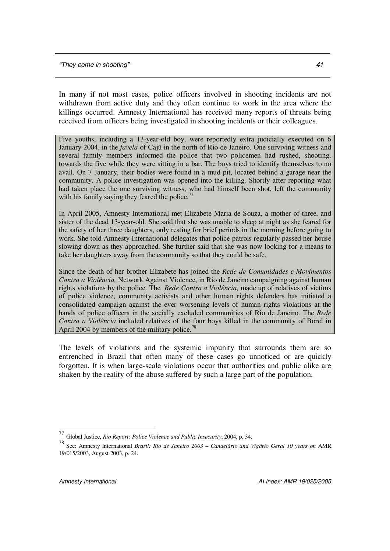In many if not most cases, police officers involved in shooting incidents are not withdrawn from active duty and they often continue to work in the area where the killings occurred. Amnesty International has received many reports of threats being received from officers being investigated in shooting incidents or their colleagues.

Five youths, including a 13-year-old boy, were reportedly extra judicially executed on 6 January 2004, in the *favela* of Cajú in the north of Rio de Janeiro. One surviving witness and several family members informed the police that two policemen had rushed, shooting, towards the five while they were sitting in a bar. The boys tried to identify themselves to no avail. On 7 January, their bodies were found in a mud pit, located behind a garage near the community. A police investigation was opened into the killing. Shortly after reporting what had taken place the one surviving witness, who had himself been shot, left the community with his family saying they feared the police. $77$ 

In April 2005, Amnesty International met Elizabete Maria de Souza, a mother of three, and sister of the dead 13-year-old. She said that she was unable to sleep at night as she feared for the safety of her three daughters, only resting for brief periods in the morning before going to work. She told Amnesty International delegates that police patrols regularly passed her house slowing down as they approached. She further said that she was now looking for a means to take her daughters away from the community so that they could be safe.

Since the death of her brother Elizabete has joined the *Rede de Comunidades e Movimentos Contra a Violência,* Network Against Violence, in Rio de Janeiro campaigning against human rights violations by the police. The *Rede Contra a Violência,* made up of relatives of victims of police violence, community activists and other human rights defenders has initiated a consolidated campaign against the ever worsening levels of human rights violations at the hands of police officers in the socially excluded communities of Rio de Janeiro. The *Rede Contra a Violência* included relatives of the four boys killed in the community of Borel in April 2004 by members of the military police.<sup>78</sup>

The levels of violations and the systemic impunity that surrounds them are so entrenched in Brazil that often many of these cases go unnoticed or are quickly forgotten. It is when large-scale violations occur that authorities and public alike are shaken by the reality of the abuse suffered by such a large part of the population.

<sup>77</sup> Global Justice, *Rio Report: Police Violence and Public Insecurity*, 2004, p. 34.

<sup>78</sup> See: Amnesty International *Brazil: Rio de Janeiro 2003 – Candelário and Vigário Geral 10 years on* AMR 19/015/2003, August 2003, p. 24.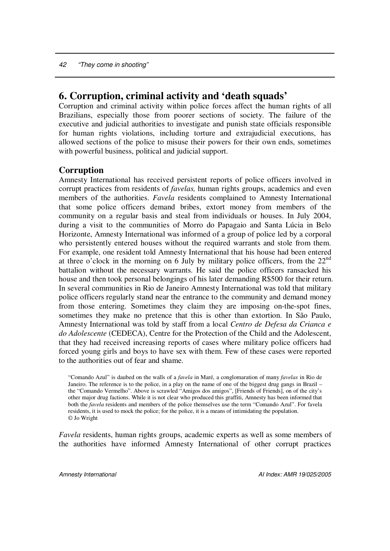# **6. Corruption, criminal activity and 'death squads'**

Corruption and criminal activity within police forces affect the human rights of all Brazilians, especially those from poorer sections of society. The failure of the executive and judicial authorities to investigate and punish state officials responsible for human rights violations, including torture and extrajudicial executions, has allowed sections of the police to misuse their powers for their own ends, sometimes with powerful business, political and judicial support.

## **Corruption**

Amnesty International has received persistent reports of police officers involved in corrupt practices from residents of *favelas,* human rights groups, academics and even members of the authorities. *Favela* residents complained to Amnesty International that some police officers demand bribes, extort money from members of the community on a regular basis and steal from individuals or houses. In July 2004, during a visit to the communities of Morro do Papagaio and Santa Lúcia in Belo Horizonte, Amnesty International was informed of a group of police led by a corporal who persistently entered houses without the required warrants and stole from them. For example, one resident told Amnesty International that his house had been entered at three  $\overline{o}$  clock in the morning on 6 July by military police officers, from the  $22^{\text{nd}}$ battalion without the necessary warrants. He said the police officers ransacked his house and then took personal belongings of his later demanding R\$500 for their return. In several communities in Rio de Janeiro Amnesty International was told that military police officers regularly stand near the entrance to the community and demand money from those entering. Sometimes they claim they are imposing on-the-spot fines, sometimes they make no pretence that this is other than extortion. In São Paulo, Amnesty International was told by staff from a local *Centro de Defesa da Crianca e do Adolescente* (CEDECA), Centre for the Protection of the Child and the Adolescent, that they had received increasing reports of cases where military police officers had forced young girls and boys to have sex with them. Few of these cases were reported to the authorities out of fear and shame.

"Comando Azul" is daubed on the walls of a *favela* in Maré, a conglomaration of many *favelas* in Rio de Janeiro. The reference is to the police, in a play on the name of one of the biggest drug gangs in Brazil – the "Comando Vermelho". Above is scrawled "Amigos dos amigos", [Friends of Friends], on of the city's other major drug factions. While it is not clear who produced this graffiti, Amnesty has been informed that both the *favela* residents and members of the police themselves use the term "Comando Azul". For favela residents, it is used to mock the police; for the police, it is a means of intimidating the population. © Jo Wright

*Favela* residents, human rights groups, academic experts as well as some members of the authorities have informed Amnesty International of other corrupt practices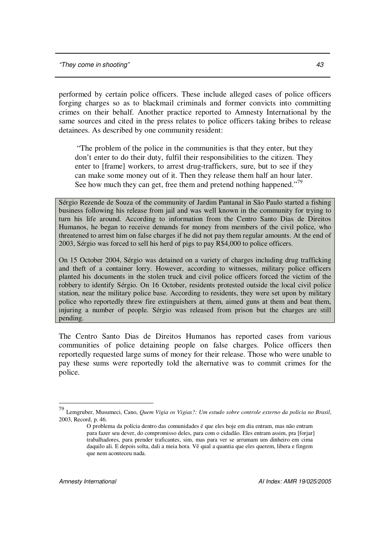performed by certain police officers. These include alleged cases of police officers forging charges so as to blackmail criminals and former convicts into committing crimes on their behalf. Another practice reported to Amnesty International by the same sources and cited in the press relates to police officers taking bribes to release detainees. As described by one community resident:

"The problem of the police in the communities is that they enter, but they don't enter to do their duty, fulfil their responsibilities to the citizen. They enter to [frame] workers, to arrest drug-traffickers, sure, but to see if they can make some money out of it. Then they release them half an hour later. See how much they can get, free them and pretend nothing happened."<sup>79</sup>

Sérgio Rezende de Souza of the community of Jardim Pantanal in São Paulo started a fishing business following his release from jail and was well known in the community for trying to turn his life around. According to information from the Centro Santo Dias de Direitos Humanos, he began to receive demands for money from members of the civil police, who threatened to arrest him on false charges if he did not pay them regular amounts. At the end of 2003, Sérgio was forced to sell his herd of pigs to pay R\$4,000 to police officers.

On 15 October 2004, Sérgio was detained on a variety of charges including drug trafficking and theft of a container lorry. However, according to witnesses, military police officers planted his documents in the stolen truck and civil police officers forced the victim of the robbery to identify Sérgio. On 16 October, residents protested outside the local civil police station, near the military police base. According to residents, they were set upon by military police who reportedly threw fire extinguishers at them, aimed guns at them and beat them, injuring a number of people. Sérgio was released from prison but the charges are still pending.

The Centro Santo Dias de Direitos Humanos has reported cases from various communities of police detaining people on false charges. Police officers then reportedly requested large sums of money for their release. Those who were unable to pay these sums were reportedly told the alternative was to commit crimes for the police.

<sup>79</sup> Lemgruber, Musumeci, Cano, *Quem Vigia os Vigias?: Um estudo sobre controle externo da polícia no Brasil*, 2003, Record, p. 46.

O problema da polícia dentro das comunidades é que eles hoje em dia entram, mas não entram para fazer seu dever, do compromisso deles, para com o cidadão. Eles entram assim, pra [forjar] trabalhadores, para prender traficantes, sim, mas para ver se arrumam um dinheiro em cima daquilo ali. E depois solta, dali a meia hora. Vê qual a quantia que eles querem, libera e fingem que nem aconteceu nada.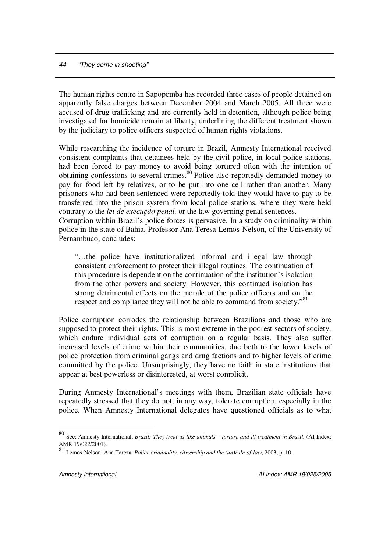The human rights centre in Sapopemba has recorded three cases of people detained on apparently false charges between December 2004 and March 2005. All three were accused of drug trafficking and are currently held in detention, although police being investigated for homicide remain at liberty, underlining the different treatment shown by the judiciary to police officers suspected of human rights violations.

While researching the incidence of torture in Brazil, Amnesty International received consistent complaints that detainees held by the civil police, in local police stations, had been forced to pay money to avoid being tortured often with the intention of obtaining confessions to several crimes. 80 Police also reportedly demanded money to pay for food left by relatives, or to be put into one cell rather than another. Many prisoners who had been sentenced were reportedly told they would have to pay to be transferred into the prison system from local police stations, where they were held contrary to the *lei de execução penal,* or the law governing penal sentences.

Corruption within Brazil's police forces is pervasive. In a study on criminality within police in the state of Bahia, Professor Ana Teresa Lemos-Nelson, of the University of Pernambuco, concludes:

"…the police have institutionalized informal and illegal law through consistent enforcement to protect their illegal routines. The continuation of this procedure is dependent on the continuation of the institution's isolation from the other powers and society. However, this continued isolation has strong detrimental effects on the morale of the police officers and on the respect and compliance they will not be able to command from society."<sup>81</sup>

Police corruption corrodes the relationship between Brazilians and those who are supposed to protect their rights. This is most extreme in the poorest sectors of society, which endure individual acts of corruption on a regular basis. They also suffer increased levels of crime within their communities, due both to the lower levels of police protection from criminal gangs and drug factions and to higher levels of crime committed by the police. Unsurprisingly, they have no faith in state institutions that appear at best powerless or disinterested, at worst complicit.

During Amnesty International's meetings with them, Brazilian state officials have repeatedly stressed that they do not, in any way, tolerate corruption, especially in the police. When Amnesty International delegates have questioned officials as to what

<sup>80</sup> See: Amnesty International, *Brazil: They treat us like animals – torture and ill-treatment in Brazil*, (AI Index: AMR 19/022/2001).

Lemos-Nelson, Ana Tereza, *Police criminality, citizenship and the (un)rule-of-law*, 2003, p. 10.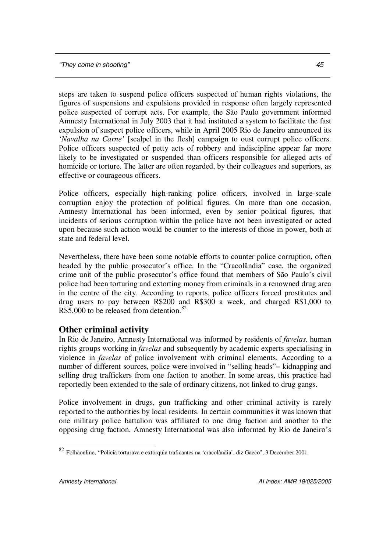steps are taken to suspend police officers suspected of human rights violations, the figures of suspensions and expulsions provided in response often largely represented police suspected of corrupt acts. For example, the São Paulo government informed Amnesty International in July 2003 that it had instituted a system to facilitate the fast expulsion of suspect police officers, while in April 2005 Rio de Janeiro announced its *'Navalha na Carne'* [scalpel in the flesh] campaign to oust corrupt police officers. Police officers suspected of petty acts of robbery and indiscipline appear far more likely to be investigated or suspended than officers responsible for alleged acts of homicide or torture. The latter are often regarded, by their colleagues and superiors, as effective or courageous officers.

Police officers, especially high-ranking police officers, involved in large-scale corruption enjoy the protection of political figures. On more than one occasion, Amnesty International has been informed, even by senior political figures, that incidents of serious corruption within the police have not been investigated or acted upon because such action would be counter to the interests of those in power, both at state and federal level.

Nevertheless, there have been some notable efforts to counter police corruption, often headed by the public prosecutor's office. In the "Cracolândia" case, the organized crime unit of the public prosecutor's office found that members of São Paulo's civil police had been torturing and extorting money from criminals in a renowned drug area in the centre of the city. According to reports, police officers forced prostitutes and drug users to pay between R\$200 and R\$300 a week, and charged R\$1,000 to R\$5,000 to be released from detention.<sup>82</sup>

# **Other criminal activity**

In Rio de Janeiro, Amnesty International was informed by residents of *favelas,* human rights groups working in *favelas* and subsequently by academic experts specialising in violence in *favelas* of police involvement with criminal elements. According to a number of different sources, police were involved in "selling heads"**–** kidnapping and selling drug traffickers from one faction to another. In some areas, this practice had reportedly been extended to the sale of ordinary citizens, not linked to drug gangs.

Police involvement in drugs, gun trafficking and other criminal activity is rarely reported to the authorities by local residents. In certain communities it was known that one military police battalion was affiliated to one drug faction and another to the opposing drug faction. Amnesty International was also informed by Rio de Janeiro's

<sup>82</sup> Folhaonline, "Polícia torturava e extorquia traficantes na 'cracolândia', diz Gaeco", 3 December 2001.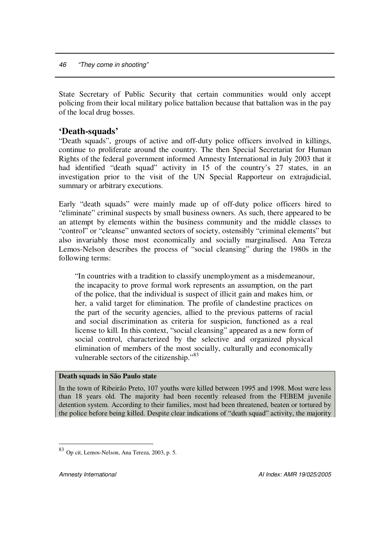State Secretary of Public Security that certain communities would only accept policing from their local military police battalion because that battalion was in the pay of the local drug bosses.

## **'Death-squads'**

"Death squads", groups of active and off-duty police officers involved in killings, continue to proliferate around the country. The then Special Secretariat for Human Rights of the federal government informed Amnesty International in July 2003 that it had identified "death squad" activity in 15 of the country's 27 states, in an investigation prior to the visit of the UN Special Rapporteur on extrajudicial, summary or arbitrary executions.

Early "death squads" were mainly made up of off-duty police officers hired to "eliminate" criminal suspects by small business owners. As such, there appeared to be an attempt by elements within the business community and the middle classes to "control" or "cleanse" unwanted sectors of society, ostensibly "criminal elements" but also invariably those most economically and socially marginalised. Ana Tereza Lemos-Nelson describes the process of "social cleansing" during the 1980s in the following terms:

"In countries with a tradition to classify unemployment as a misdemeanour, the incapacity to prove formal work represents an assumption, on the part of the police, that the individual is suspect of illicit gain and makes him, or her, a valid target for elimination. The profile of clandestine practices on the part of the security agencies, allied to the previous patterns of racial and social discrimination as criteria for suspicion, functioned as a real license to kill. In this context, "social cleansing" appeared as a new form of social control, characterized by the selective and organized physical elimination of members of the most socially, culturally and economically vulnerable sectors of the citizenship."<sup>83</sup>

#### **Death squads in São Paulo state**

In the town of Ribeirão Preto, 107 youths were killed between 1995 and 1998. Most were less than 18 years old. The majority had been recently released from the FEBEM juvenile detention system. According to their families, most had been threatened, beaten or tortured by the police before being killed. Despite clear indications of "death squad" activity, the majority

<sup>83</sup> Op cit, Lemos-Nelson, Ana Tereza, 2003, p. 5.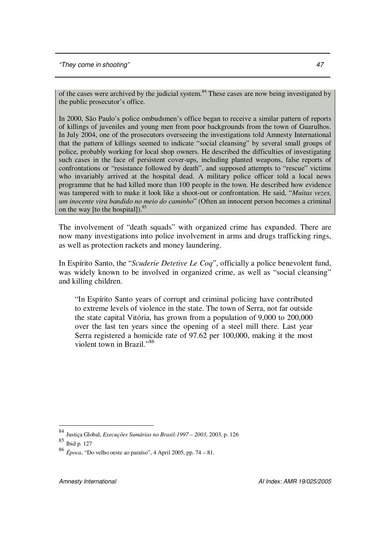of the cases were archived by the judicial system.<sup>84</sup> These cases are now being investigated by the public prosecutor's office.

In 2000, São Paulo's police ombudsmen's office began to receive a similar pattern of reports of killings of juveniles and young men from poor backgrounds from the town of Guarulhos. In July 2004, one of the prosecutors overseeing the investigations told Amnesty International that the pattern of killings seemed to indicate "social cleansing" by several small groups of police, probably working for local shop owners. He described the difficulties of investigating such cases in the face of persistent cover-ups, including planted weapons, false reports of confrontations or "resistance followed by death", and supposed attempts to "rescue" victims who invariably arrived at the hospital dead. A military police officer told a local news programme that he had killed more than 100 people in the town. He described how evidence was tampered with to make it look like a shoot-out or confrontation. He said, "*Muitas vezes, um inocente vira bandido no meio do caminho*" (Often an innocent person becomes a criminal on the way [to the hospital]). 85

The involvement of "death squads" with organized crime has expanded. There are now many investigations into police involvement in arms and drugs trafficking rings, as well as protection rackets and money laundering.

In Espírito Santo, the "*Scuderie Detetive Le Coq*", officially a police benevolent fund, was widely known to be involved in organized crime, as well as "social cleansing" and killing children.

"In Espírito Santo years of corrupt and criminal policing have contributed to extreme levels of violence in the state. The town of Serra, not far outside the state capital Vitória, has grown from a population of 9,000 to 200,000 over the last ten years since the opening of a steel mill there. Last year Serra registered a homicide rate of 97.62 per 100,000, making it the most violent town in Brazil."<sup>86</sup>

<sup>84</sup> Justiça Global, *Execuções Sumárias no Brasil:1997 – 2003*, 2003, p. 126

<sup>85</sup> Ibid p. 127

<sup>86</sup> *Época*, "Do velho oeste ao paraíso", 4 April 2005, pp. 74 – 81.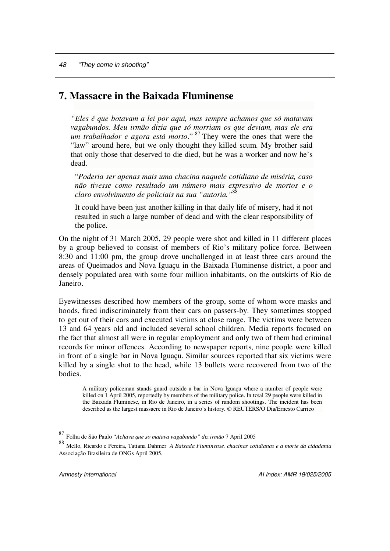# **7. Massacre in the Baixada Fluminense**

*"Eles é que botavam a lei por aqui, mas sempre achamos que só matavam vagabundos. Meu irmão dizia que só morriam os que deviam, mas ele era um trabalhador e agora está morto*." 87 They were the ones that were the "law" around here, but we only thought they killed scum. My brother said that only those that deserved to die died, but he was a worker and now he's dead.

"*Poderia ser apenas mais uma chacina naquele cotidiano de miséria, caso não tivesse como resultado um número mais expressivo de mortos e o claro envolvimento de policiais na sua "autoria."* 88

It could have been just another killing in that daily life of misery, had it not resulted in such a large number of dead and with the clear responsibility of the police.

On the night of 31 March 2005, 29 people were shot and killed in 11 different places by a group believed to consist of members of Rio's military police force. Between 8:30 and 11:00 pm, the group drove unchallenged in at least three cars around the areas of Queimados and Nova Iguaçu in the Baixada Fluminense district, a poor and densely populated area with some four million inhabitants, on the outskirts of Rio de Janeiro.

Eyewitnesses described how members of the group, some of whom wore masks and hoods, fired indiscriminately from their cars on passers-by. They sometimes stopped to get out of their cars and executed victims at close range. The victims were between 13 and 64 years old and included several school children. Media reports focused on the fact that almost all were in regular employment and only two of them had criminal records for minor offences. According to newspaper reports, nine people were killed in front of a single bar in Nova Iguaçu. Similar sources reported that six victims were killed by a single shot to the head, while 13 bullets were recovered from two of the bodies.

A military policeman stands guard outside a bar in Nova Iguaçu where a number of people were killed on 1 April 2005, reportedly by members of the military police. In total 29 people were killed in the Baixada Fluminese, in Rio de Janeiro, in a series of random shootings. The incident has been described as the largest massacre in Rio de Janeiro's history. © REUTERS/O Dia/Ernesto Carrico

<sup>87</sup> Folha de São Paulo "*Achava que so matava vagabundo" diz irmão* 7 April 2005

<sup>88</sup> Mello, Ricardo <sup>e</sup> Pereira, Tatiana Dahmer *<sup>A</sup> Baixada Fluminense, chacinas cotidianas <sup>e</sup> <sup>a</sup> morte da cidadania* Associação Brasileira de ONGs April 2005.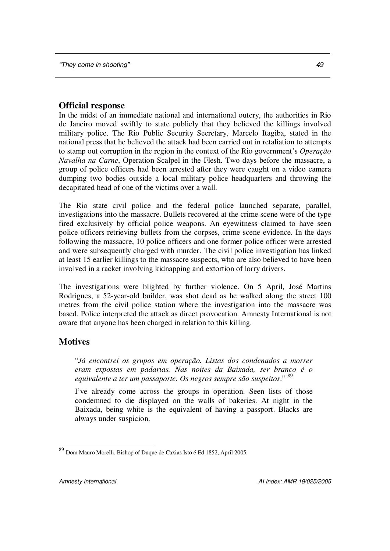## **Official response**

In the midst of an immediate national and international outcry, the authorities in Rio de Janeiro moved swiftly to state publicly that they believed the killings involved military police. The Rio Public Security Secretary, Marcelo Itagiba, stated in the national press that he believed the attack had been carried out in retaliation to attempts to stamp out corruption in the region in the context of the Rio government's *Operação Navalha na Carne*, Operation Scalpel in the Flesh. Two days before the massacre, a group of police officers had been arrested after they were caught on a video camera dumping two bodies outside a local military police headquarters and throwing the decapitated head of one of the victims over a wall.

The Rio state civil police and the federal police launched separate, parallel, investigations into the massacre. Bullets recovered at the crime scene were of the type fired exclusively by official police weapons. An eyewitness claimed to have seen police officers retrieving bullets from the corpses, crime scene evidence. In the days following the massacre, 10 police officers and one former police officer were arrested and were subsequently charged with murder. The civil police investigation has linked at least 15 earlier killings to the massacre suspects, who are also believed to have been involved in a racket involving kidnapping and extortion of lorry drivers.

The investigations were blighted by further violence. On 5 April, José Martins Rodrigues, a 52-year-old builder, was shot dead as he walked along the street 100 metres from the civil police station where the investigation into the massacre was based. Police interpreted the attack as direct provocation. Amnesty International is not aware that anyone has been charged in relation to this killing.

## **Motives**

"*Já encontrei os grupos em operação. Listas dos condenados a morrer eram expostas em padarias. Nas noites da Baixada, ser branco é o equivalente a ter um passaporte. Os negros sempre são suspeitos*." 89

I've already come across the groups in operation. Seen lists of those condemned to die displayed on the walls of bakeries. At night in the Baixada, being white is the equivalent of having a passport. Blacks are always under suspicion.

<sup>89</sup> Dom Mauro Morelli, Bishop of Duque de Caxias Isto é Ed 1852, April 2005.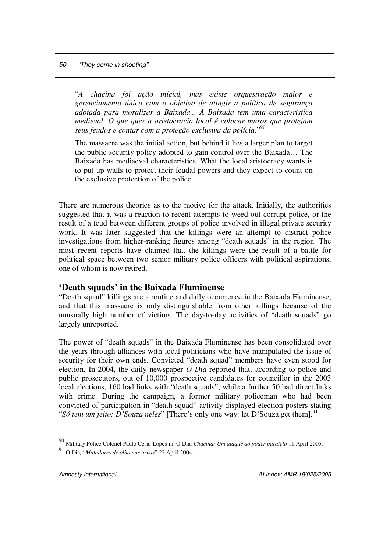"*A chacina foi ação inicial, mas existe orquestração maior e gerenciamento único com o objetivo de atingir a política de segurança adotada para moralizar a Baixada... A Baixada tem uma característica medieval. O que quer a aristocracia local é colocar muros que protejam seus feudos e contar com a proteção exclusiva da polícia*." 90

The massacre was the initial action, but behind it lies a larger plan to target the public security policy adopted to gain control over the Baixada… The Baixada has mediaeval characteristics. What the local aristocracy wants is to put up walls to protect their feudal powers and they expect to count on the exclusive protection of the police.

There are numerous theories as to the motive for the attack. Initially, the authorities suggested that it was a reaction to recent attempts to weed out corrupt police, or the result of a feud between different groups of police involved in illegal private security work. It was later suggested that the killings were an attempt to distract police investigations from higher-ranking figures among "death squads" in the region. The most recent reports have claimed that the killings were the result of a battle for political space between two senior military police officers with political aspirations, one of whom is now retired.

## **'Death squads' in the Baixada Fluminense**

"Death squad" killings are a routine and daily occurrence in the Baixada Fluminense, and that this massacre is only distinguishable from other killings because of the unusually high number of victims. The day-to-day activities of "death squads" go largely unreported.

The power of "death squads" in the Baixada Fluminense has been consolidated over the years through alliances with local politicians who have manipulated the issue of security for their own ends. Convicted "death squad" members have even stood for election. In 2004, the daily newspaper *O Dia* reported that, according to police and public prosecutors, out of 10,000 prospective candidates for councillor in the 2003 local elections, 160 had links with "death squads", while a further 50 had direct links with crime. During the campaign, a former military policeman who had been convicted of participation in "death squad" activity displayed election posters stating "*Só tem um jeito: D'Souza neles*" [There's only one way: let D'Souza get them]. 91

<sup>90</sup> Military Police Colonel Paulo César Lopes in <sup>O</sup> Dia, *Chacina: Um ataque ao poder paralelo* <sup>11</sup> April 2005.

<sup>91</sup> O Dia*,* "*Matadores de olho nas urnas*" 22 April 2004.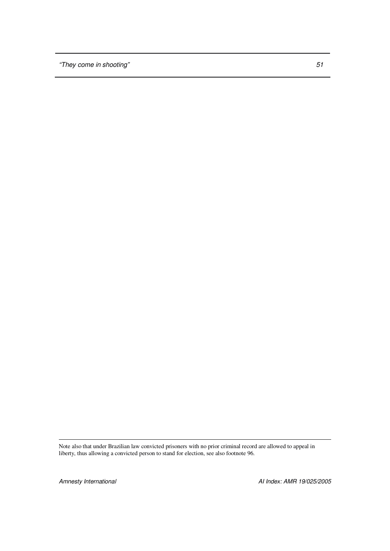Note also that under Brazilian law convicted prisoners with no prior criminal record are allowed to appeal in liberty, thus allowing a convicted person to stand for election, see also footnote 96.

*Amnesty International AI Index: AMR 19/025/2005*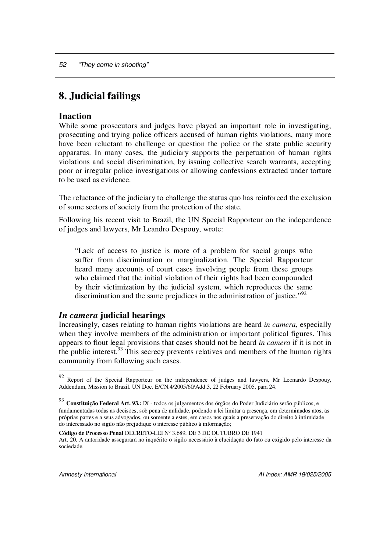# **8. Judicial failings**

### **Inaction**

While some prosecutors and judges have played an important role in investigating, prosecuting and trying police officers accused of human rights violations, many more have been reluctant to challenge or question the police or the state public security apparatus. In many cases, the judiciary supports the perpetuation of human rights violations and social discrimination, by issuing collective search warrants, accepting poor or irregular police investigations or allowing confessions extracted under torture to be used as evidence.

The reluctance of the judiciary to challenge the status quo has reinforced the exclusion of some sectors of society from the protection of the state.

Following his recent visit to Brazil, the UN Special Rapporteur on the independence of judges and lawyers, Mr Leandro Despouy, wrote:

"Lack of access to justice is more of a problem for social groups who suffer from discrimination or marginalization. The Special Rapporteur heard many accounts of court cases involving people from these groups who claimed that the initial violation of their rights had been compounded by their victimization by the judicial system, which reproduces the same discrimination and the same prejudices in the administration of justice."<sup>92</sup>

#### *In camera* **judicial hearings**

Increasingly, cases relating to human rights violations are heard *in camera*, especially when they involve members of the administration or important political figures. This appears to flout legal provisions that cases should not be heard *in camera* if it is not in the public interest.<sup>93</sup> This secrecy prevents relatives and members of the human rights community from following such cases.

<sup>92</sup> Report of the Special Rapporteur on the independence of judges and lawyers, Mr Leonardo Despouy, Addendum, Mission to Brazil. UN Doc. E/CN.4/2005/60/Add.3, 22 February 2005, para 24.

<sup>93</sup> **Constituição Federal Art. 93.:** IX - todos os julgamentos dos órgãos do Poder Judiciário serão públicos, e fundamentadas todas as decisões, sob pena de nulidade, podendo a lei limitar a presença, em determinados atos, às próprias partes e a seus advogados, ou somente a estes, em casos nos quais a preservação do direito à intimidade do interessado no sigilo não prejudique o interesse público à informação;

**Código de Processo Penal** DECRETO-LEI Nº 3.689, DE 3 DE OUTUBRO DE 1941 Art. 20. A autoridade assegurará no inquérito o sigilo necessário à elucidação do fato ou exigido pelo interesse da sociedade.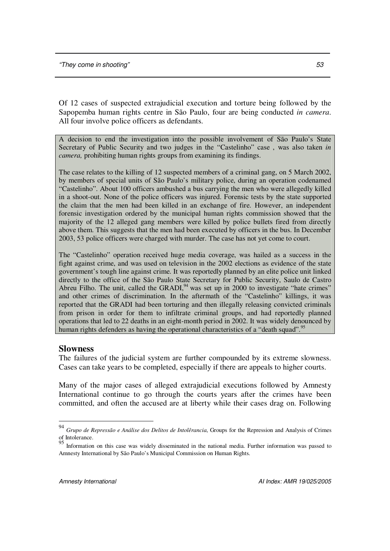Of 12 cases of suspected extrajudicial execution and torture being followed by the Sapopemba human rights centre in São Paulo, four are being conducted *in camera*. All four involve police officers as defendants.

A decision to end the investigation into the possible involvement of São Paulo's State Secretary of Public Security and two judges in the "Castelinho" case , was also taken *in camera,* prohibiting human rights groups from examining its findings.

The case relates to the killing of 12 suspected members of a criminal gang, on 5 March 2002, by members of special units of São Paulo's military police, during an operation codenamed "Castelinho". About 100 officers ambushed a bus carrying the men who were allegedly killed in a shoot-out. None of the police officers was injured. Forensic tests by the state supported the claim that the men had been killed in an exchange of fire. However, an independent forensic investigation ordered by the municipal human rights commission showed that the majority of the 12 alleged gang members were killed by police bullets fired from directly above them. This suggests that the men had been executed by officers in the bus. In December 2003, 53 police officers were charged with murder. The case has not yet come to court.

The "Castelinho" operation received huge media coverage, was hailed as a success in the fight against crime, and was used on television in the 2002 elections as evidence of the state government's tough line against crime. It was reportedly planned by an elite police unit linked directly to the office of the São Paulo State Secretary for Public Security, Saulo de Castro Abreu Filho. The unit, called the GRADI, $94$  was set up in 2000 to investigate "hate crimes" and other crimes of discrimination. In the aftermath of the "Castelinho" killings, it was reported that the GRADI had been torturing and then illegally releasing convicted criminals from prison in order for them to infiltrate criminal groups, and had reportedly planned operations that led to 22 deaths in an eight-month period in 2002. It was widely denounced by human rights defenders as having the operational characteristics of a "death squad".<sup>95</sup>

#### **Slowness**

The failures of the judicial system are further compounded by its extreme slowness. Cases can take years to be completed, especially if there are appeals to higher courts.

Many of the major cases of alleged extrajudicial executions followed by Amnesty International continue to go through the courts years after the crimes have been committed, and often the accused are at liberty while their cases drag on. Following

<sup>94</sup> *Grupo de Repressão e Análise dos Delitos de Intolêrancia*, Groups for the Repression and Analysis of Crimes of Intolerance.

<sup>&</sup>lt;sup>95</sup> Information on this case was widely disseminated in the national media. Further information was passed to Amnesty International by São Paulo's Municipal Commission on Human Rights.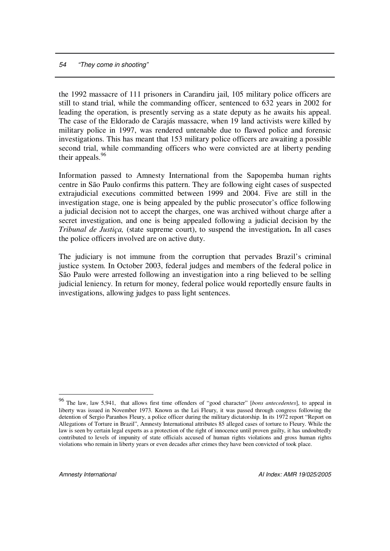the 1992 massacre of 111 prisoners in Carandiru jail, 105 military police officers are still to stand trial, while the commanding officer, sentenced to 632 years in 2002 for leading the operation, is presently serving as a state deputy as he awaits his appeal. The case of the Eldorado de Carajás massacre, when 19 land activists were killed by military police in 1997, was rendered untenable due to flawed police and forensic investigations. This has meant that 153 military police officers are awaiting a possible second trial, while commanding officers who were convicted are at liberty pending their appeals.<sup>96</sup>

Information passed to Amnesty International from the Sapopemba human rights centre in São Paulo confirms this pattern. They are following eight cases of suspected extrajudicial executions committed between 1999 and 2004. Five are still in the investigation stage, one is being appealed by the public prosecutor's office following a judicial decision not to accept the charges, one was archived without charge after a secret investigation, and one is being appealed following a judicial decision by the *Tribunal de Justiça,* (state supreme court), to suspend the investigation**.** In all cases the police officers involved are on active duty.

The judiciary is not immune from the corruption that pervades Brazil's criminal justice system. In October 2003, federal judges and members of the federal police in São Paulo were arrested following an investigation into a ring believed to be selling judicial leniency. In return for money, federal police would reportedly ensure faults in investigations, allowing judges to pass light sentences.

<sup>96</sup> The law, law 5,941, that allows first time offenders of "good character" [*bons antecedentes*], to appeal in liberty was issued in November 1973. Known as the Lei Fleury, it was passed through congress following the detention of Sergio Paranhos Fleury, a police officer during the military dictatorship. In its 1972 report "Report on Allegations of Torture in Brazil", Amnesty International attributes 85 alleged cases of torture to Fleury. While the law is seen by certain legal experts as a protection of the right of innocence until proven guilty, it has undoubtedly contributed to levels of impunity of state officials accused of human rights violations and gross human rights violations who remain in liberty years or even decades after crimes they have been convicted of took place.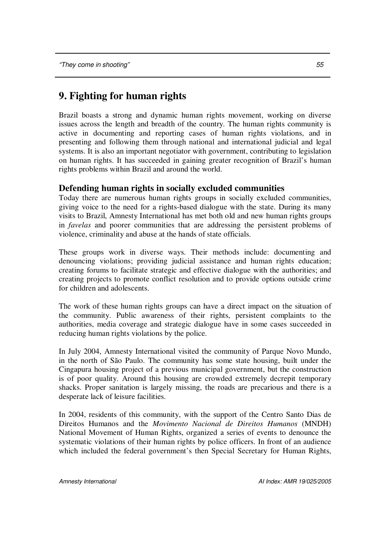# **9. Fighting for human rights**

Brazil boasts a strong and dynamic human rights movement, working on diverse issues across the length and breadth of the country. The human rights community is active in documenting and reporting cases of human rights violations, and in presenting and following them through national and international judicial and legal systems. It is also an important negotiator with government, contributing to legislation on human rights. It has succeeded in gaining greater recognition of Brazil's human rights problems within Brazil and around the world.

# **Defending human rights in socially excluded communities**

Today there are numerous human rights groups in socially excluded communities, giving voice to the need for a rights-based dialogue with the state. During its many visits to Brazil, Amnesty International has met both old and new human rights groups in *favelas* and poorer communities that are addressing the persistent problems of violence, criminality and abuse at the hands of state officials.

These groups work in diverse ways. Their methods include: documenting and denouncing violations; providing judicial assistance and human rights education; creating forums to facilitate strategic and effective dialogue with the authorities; and creating projects to promote conflict resolution and to provide options outside crime for children and adolescents.

The work of these human rights groups can have a direct impact on the situation of the community. Public awareness of their rights, persistent complaints to the authorities, media coverage and strategic dialogue have in some cases succeeded in reducing human rights violations by the police.

In July 2004, Amnesty International visited the community of Parque Novo Mundo, in the north of São Paulo. The community has some state housing, built under the Cingapura housing project of a previous municipal government, but the construction is of poor quality. Around this housing are crowded extremely decrepit temporary shacks. Proper sanitation is largely missing, the roads are precarious and there is a desperate lack of leisure facilities.

In 2004, residents of this community, with the support of the Centro Santo Dias de Direitos Humanos and the *Movimento Nacional de Direitos Humanos* (MNDH) National Movement of Human Rights, organized a series of events to denounce the systematic violations of their human rights by police officers. In front of an audience which included the federal government's then Special Secretary for Human Rights,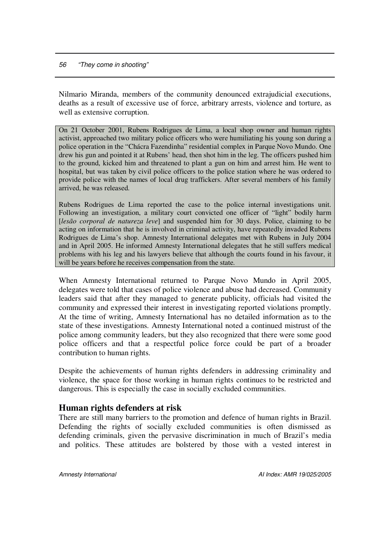Nilmario Miranda, members of the community denounced extrajudicial executions, deaths as a result of excessive use of force, arbitrary arrests, violence and torture, as well as extensive corruption.

On 21 October 2001, Rubens Rodrigues de Lima, a local shop owner and human rights activist, approached two military police officers who were humiliating his young son during a police operation in the "Chácra Fazendinha" residential complex in Parque Novo Mundo. One drew his gun and pointed it at Rubens' head, then shot him in the leg. The officers pushed him to the ground, kicked him and threatened to plant a gun on him and arrest him. He went to hospital, but was taken by civil police officers to the police station where he was ordered to provide police with the names of local drug traffickers. After several members of his family arrived, he was released.

Rubens Rodrigues de Lima reported the case to the police internal investigations unit. Following an investigation, a military court convicted one officer of "light" bodily harm [*lesão corporal de natureza leve*] and suspended him for 30 days. Police, claiming to be acting on information that he is involved in criminal activity, have repeatedly invaded Rubens Rodrigues de Lima's shop. Amnesty International delegates met with Rubens in July 2004 and in April 2005. He informed Amnesty International delegates that he still suffers medical problems with his leg and his lawyers believe that although the courts found in his favour, it will be years before he receives compensation from the state.

When Amnesty International returned to Parque Novo Mundo in April 2005, delegates were told that cases of police violence and abuse had decreased. Community leaders said that after they managed to generate publicity, officials had visited the community and expressed their interest in investigating reported violations promptly. At the time of writing, Amnesty International has no detailed information as to the state of these investigations. Amnesty International noted a continued mistrust of the police among community leaders, but they also recognized that there were some good police officers and that a respectful police force could be part of a broader contribution to human rights.

Despite the achievements of human rights defenders in addressing criminality and violence, the space for those working in human rights continues to be restricted and dangerous. This is especially the case in socially excluded communities.

## **Human rights defenders at risk**

There are still many barriers to the promotion and defence of human rights in Brazil. Defending the rights of socially excluded communities is often dismissed as defending criminals, given the pervasive discrimination in much of Brazil's media and politics. These attitudes are bolstered by those with a vested interest in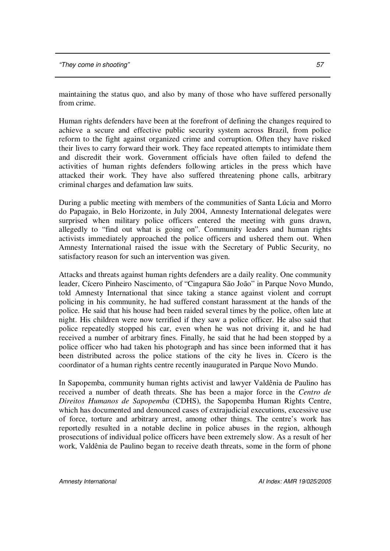maintaining the status quo, and also by many of those who have suffered personally from crime.

Human rights defenders have been at the forefront of defining the changes required to achieve a secure and effective public security system across Brazil, from police reform to the fight against organized crime and corruption. Often they have risked their lives to carry forward their work. They face repeated attempts to intimidate them and discredit their work. Government officials have often failed to defend the activities of human rights defenders following articles in the press which have attacked their work. They have also suffered threatening phone calls, arbitrary criminal charges and defamation law suits.

During a public meeting with members of the communities of Santa Lúcia and Morro do Papagaio, in Belo Horizonte, in July 2004, Amnesty International delegates were surprised when military police officers entered the meeting with guns drawn, allegedly to "find out what is going on". Community leaders and human rights activists immediately approached the police officers and ushered them out. When Amnesty International raised the issue with the Secretary of Public Security, no satisfactory reason for such an intervention was given.

Attacks and threats against human rights defenders are a daily reality. One community leader, Cícero Pinheiro Nascimento, of "Cingapura São João" in Parque Novo Mundo, told Amnesty International that since taking a stance against violent and corrupt policing in his community, he had suffered constant harassment at the hands of the police. He said that his house had been raided several times by the police, often late at night. His children were now terrified if they saw a police officer. He also said that police repeatedly stopped his car, even when he was not driving it, and he had received a number of arbitrary fines. Finally, he said that he had been stopped by a police officer who had taken his photograph and has since been informed that it has been distributed across the police stations of the city he lives in. Cícero is the coordinator of a human rights centre recently inaugurated in Parque Novo Mundo.

In Sapopemba, community human rights activist and lawyer Valdênia de Paulino has received a number of death threats. She has been a major force in the *Centro de Direitos Humanos de Sapopemba* (CDHS), the Sapopemba Human Rights Centre, which has documented and denounced cases of extrajudicial executions, excessive use of force, torture and arbitrary arrest, among other things. The centre's work has reportedly resulted in a notable decline in police abuses in the region, although prosecutions of individual police officers have been extremely slow. As a result of her work, Valdênia de Paulino began to receive death threats, some in the form of phone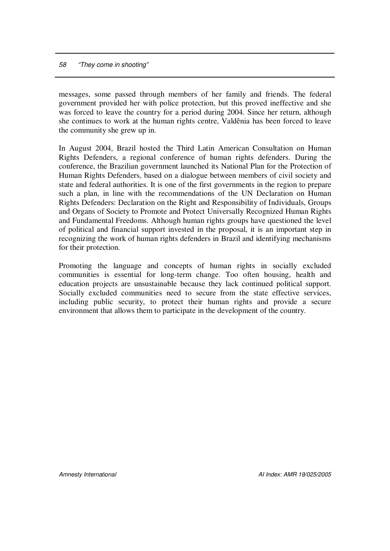messages, some passed through members of her family and friends. The federal government provided her with police protection, but this proved ineffective and she was forced to leave the country for a period during 2004. Since her return, although she continues to work at the human rights centre, Valdênia has been forced to leave the community she grew up in.

In August 2004, Brazil hosted the Third Latin American Consultation on Human Rights Defenders, a regional conference of human rights defenders. During the conference, the Brazilian government launched its National Plan for the Protection of Human Rights Defenders, based on a dialogue between members of civil society and state and federal authorities. It is one of the first governments in the region to prepare such a plan, in line with the recommendations of the UN Declaration on Human Rights Defenders: Declaration on the Right and Responsibility of Individuals, Groups and Organs of Society to Promote and Protect Universally Recognized Human Rights and Fundamental Freedoms. Although human rights groups have questioned the level of political and financial support invested in the proposal, it is an important step in recognizing the work of human rights defenders in Brazil and identifying mechanisms for their protection.

Promoting the language and concepts of human rights in socially excluded communities is essential for long-term change. Too often housing, health and education projects are unsustainable because they lack continued political support. Socially excluded communities need to secure from the state effective services, including public security, to protect their human rights and provide a secure environment that allows them to participate in the development of the country.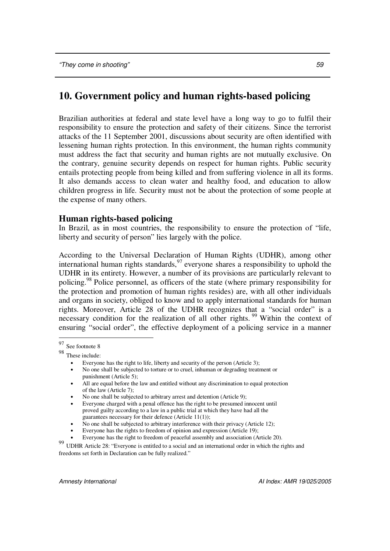# **10. Government policy and human rights-based policing**

Brazilian authorities at federal and state level have a long way to go to fulfil their responsibility to ensure the protection and safety of their citizens. Since the terrorist attacks of the 11 September 2001, discussions about security are often identified with lessening human rights protection. In this environment, the human rights community must address the fact that security and human rights are not mutually exclusive. On the contrary, genuine security depends on respect for human rights. Public security entails protecting people from being killed and from suffering violence in all its forms. It also demands access to clean water and healthy food, and education to allow children progress in life. Security must not be about the protection of some people at the expense of many others.

## **Human rights-based policing**

In Brazil, as in most countries, the responsibility to ensure the protection of "life, liberty and security of person" lies largely with the police.

According to the Universal Declaration of Human Rights (UDHR), among other international human rights standards, 97 everyone shares a responsibility to uphold the UDHR in its entirety. However, a number of its provisions are particularly relevant to policing.<sup>98</sup> Police personnel, as officers of the state (where primary responsibility for the protection and promotion of human rights resides) are, with all other individuals and organs in society, obliged to know and to apply international standards for human rights. Moreover, Article 28 of the UDHR recognizes that a "social order" is a necessary condition for the realization of all other rights.<sup>99</sup> Within the context of ensuring "social order", the effective deployment of a policing service in a manner

98 These include:

<sup>97</sup> See footnote 8

Everyone has the right to life, liberty and security of the person (Article 3);

<sup>•</sup> No one shall be subjected to torture or to cruel, inhuman or degrading treatment or punishment (Article 5);

<sup>•</sup> All are equal before the law and entitled without any discrimination to equal protection of the law (Article 7);

<sup>•</sup> No one shall be subjected to arbitrary arrest and detention (Article 9);

<sup>•</sup> Everyone charged with a penal offence has the right to be presumed innocent until proved guilty according to a law in a public trial at which they have had all the guarantees necessary for their defence (Article 11(1));

<sup>•</sup> No one shall be subjected to arbitrary interference with their privacy (Article 12);

<sup>•</sup> Everyone has the rights to freedom of opinion and expression (Article 19);

<sup>•</sup> Everyone has the right to freedom of peaceful assembly and association (Article 20).

<sup>99</sup> UDHR Article 28: "Everyone is entitled to a social and an international order in which the rights and freedoms set forth in Declaration can be fully realized."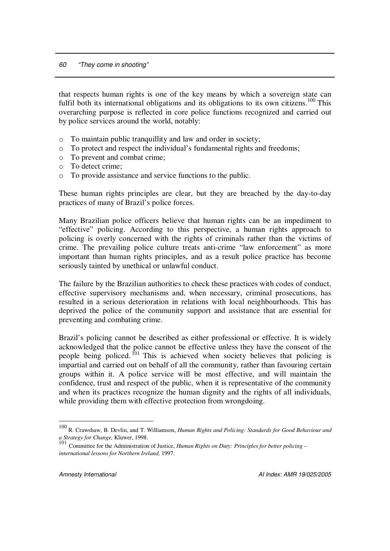that respects human rights is one of the key means by which a sovereign state can fulfil both its international obligations and its obligations to its own citizens.<sup>100</sup> This overarching purpose is reflected in core police functions recognized and carried out by police services around the world, notably:

- o To maintain public tranquillity and law and order in society;
- o To protect and respect the individual's fundamental rights and freedoms;
- o To prevent and combat crime;
- o To detect crime;
- o To provide assistance and service functions to the public.

These human rights principles are clear, but they are breached by the day-to-day practices of many of Brazil's police forces.

Many Brazilian police officers believe that human rights can be an impediment to "effective" policing. According to this perspective, a human rights approach to policing is overly concerned with the rights of criminals rather than the victims of crime. The prevailing police culture treats anti-crime "law enforcement" as more important than human rights principles, and as a result police practice has become seriously tainted by unethical or unlawful conduct.

The failure by the Brazilian authorities to check these practices with codes of conduct, effective supervisory mechanisms and, when necessary, criminal prosecutions, has resulted in a serious deterioration in relations with local neighbourhoods. This has deprived the police of the community support and assistance that are essential for preventing and combating crime.

Brazil's policing cannot be described as either professional or effective. It is widely acknowledged that the police cannot be effective unless they have the consent of the people being policed.<sup>101</sup> This is achieved when society believes that policing is impartial and carried out on behalf of all the community, rather than favouring certain groups within it. A police service will be most effective, and will maintain the confidence, trust and respect of the public, when it is representative of the community and when its practices recognize the human dignity and the rights of all individuals, while providing them with effective protection from wrongdoing.

<sup>100</sup> R. Crawshaw, B. Devlin, and T. Williamson, *Human Rights and Policing: Standards for Good Behaviour and*

a Strategy for Change, Kluwer, 1998.<br><sup>101</sup> Committee for the Administration of Justice, *Human Rights on Duty: Principles for better policing* – *international lessons for Northern Ireland,* 1997.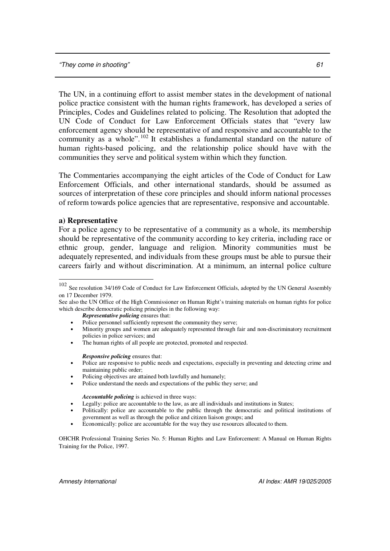The UN, in a continuing effort to assist member states in the development of national police practice consistent with the human rights framework, has developed a series of Principles, Codes and Guidelines related to policing. The Resolution that adopted the UN Code of Conduct for Law Enforcement Officials states that "every law enforcement agency should be representative of and responsive and accountable to the community as a whole".<sup>102</sup> It establishes a fundamental standard on the nature of human rights-based policing, and the relationship police should have with the communities they serve and political system within which they function.

The Commentaries accompanying the eight articles of the Code of Conduct for Law Enforcement Officials, and other international standards, should be assumed as sources of interpretation of these core principles and should inform national processes of reform towards police agencies that are representative, responsive and accountable.

#### **a) Representative**

For a police agency to be representative of a community as a whole, its membership should be representative of the community according to key criteria, including race or ethnic group, gender, language and religion. Minority communities must be adequately represented, and individuals from these groups must be able to pursue their careers fairly and without discrimination. At a minimum, an internal police culture

*Representative policing* ensures that:

*Responsive policing* ensures that:

- Policing objectives are attained both lawfully and humanely;
- Police understand the needs and expectations of the public they serve; and

*Accountable policing* is achieved in three ways:

- Legally: police are accountable to the law, as are all individuals and institutions in States;
- Politically: police are accountable to the public through the democratic and political institutions of government as well as through the police and citizen liaison groups; and
- Economically: police are accountable for the way they use resources allocated to them.

OHCHR Professional Training Series No. 5: Human Rights and Law Enforcement: A Manual on Human Rights Training for the Police, 1997.

<sup>&</sup>lt;sup>102</sup> See resolution 34/169 Code of Conduct for Law Enforcement Officials, adopted by the UN General Assembly on 17 December 1979.

See also the UN Office of the High Commissioner on Human Right's training materials on human rights for police which describe democratic policing principles in the following way:

Police personnel sufficiently represent the community they serve;

<sup>•</sup> Minority groups and women are adequately represented through fair and non-discriminatory recruitment policies in police services; and

The human rights of all people are protected, promoted and respected.

<sup>•</sup> Police are responsive to public needs and expectations, especially in preventing and detecting crime and maintaining public order;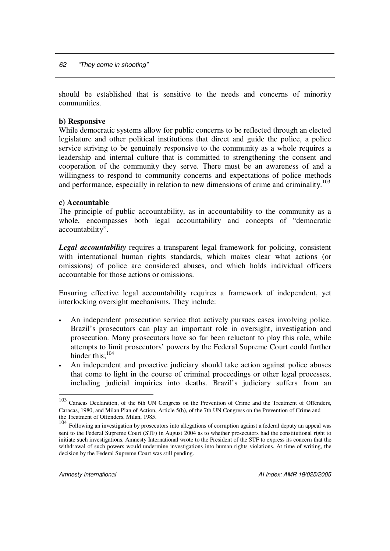should be established that is sensitive to the needs and concerns of minority communities.

#### **b) Responsive**

While democratic systems allow for public concerns to be reflected through an elected legislature and other political institutions that direct and guide the police, a police service striving to be genuinely responsive to the community as a whole requires a leadership and internal culture that is committed to strengthening the consent and cooperation of the community they serve. There must be an awareness of and a willingness to respond to community concerns and expectations of police methods and performance, especially in relation to new dimensions of crime and criminality.<sup>103</sup>

#### **c) Accountable**

The principle of public accountability, as in accountability to the community as a whole, encompasses both legal accountability and concepts of "democratic accountability".

*Legal accountability* requires a transparent legal framework for policing, consistent with international human rights standards, which makes clear what actions (or omissions) of police are considered abuses, and which holds individual officers accountable for those actions or omissions.

Ensuring effective legal accountability requires a framework of independent, yet interlocking oversight mechanisms. They include:

- An independent prosecution service that actively pursues cases involving police. Brazil's prosecutors can play an important role in oversight, investigation and prosecution. Many prosecutors have so far been reluctant to play this role, while attempts to limit prosecutors' powers by the Federal Supreme Court could further hinder this;<sup>104</sup>
- An independent and proactive judiciary should take action against police abuses that come to light in the course of criminal proceedings or other legal processes, including judicial inquiries into deaths. Brazil's judiciary suffers from an

<sup>&</sup>lt;sup>103</sup> Caracas Declaration, of the 6th UN Congress on the Prevention of Crime and the Treatment of Offenders, Caracas, 1980, and Milan Plan of Action, Article 5(h), of the 7th UN Congress on the Prevention of Crime and the Treatment of Offenders, Milan, 1985.

<sup>104</sup> Following an investigation by prosecutors into allegations of corruption against a federal deputy an appeal was sent to the Federal Supreme Court (STF) in August 2004 as to whether prosecutors had the constitutional right to initiate such investigations. Amnesty International wrote to the President of the STF to express its concern that the withdrawal of such powers would undermine investigations into human rights violations. At time of writing, the decision by the Federal Supreme Court was still pending.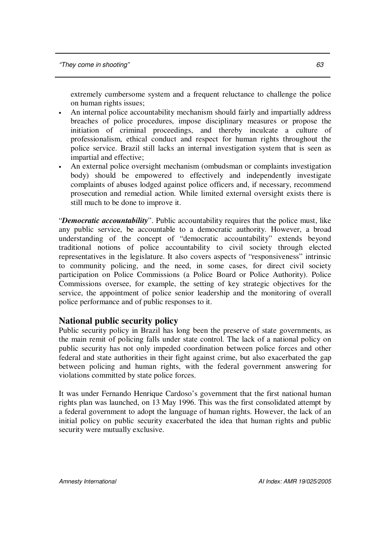extremely cumbersome system and a frequent reluctance to challenge the police on human rights issues;

- An internal police accountability mechanism should fairly and impartially address breaches of police procedures, impose disciplinary measures or propose the initiation of criminal proceedings, and thereby inculcate a culture of professionalism, ethical conduct and respect for human rights throughout the police service. Brazil still lacks an internal investigation system that is seen as impartial and effective;
- An external police oversight mechanism (ombudsman or complaints investigation body) should be empowered to effectively and independently investigate complaints of abuses lodged against police officers and, if necessary, recommend prosecution and remedial action. While limited external oversight exists there is still much to be done to improve it.

"*Democratic accountability*". Public accountability requires that the police must, like any public service, be accountable to a democratic authority. However, a broad understanding of the concept of "democratic accountability" extends beyond traditional notions of police accountability to civil society through elected representatives in the legislature. It also covers aspects of "responsiveness" intrinsic to community policing, and the need, in some cases, for direct civil society participation on Police Commissions (a Police Board or Police Authority). Police Commissions oversee, for example, the setting of key strategic objectives for the service, the appointment of police senior leadership and the monitoring of overall police performance and of public responses to it.

## **National public security policy**

Public security policy in Brazil has long been the preserve of state governments, as the main remit of policing falls under state control. The lack of a national policy on public security has not only impeded coordination between police forces and other federal and state authorities in their fight against crime, but also exacerbated the gap between policing and human rights, with the federal government answering for violations committed by state police forces.

It was under Fernando Henrique Cardoso's government that the first national human rights plan was launched, on 13 May 1996. This was the first consolidated attempt by a federal government to adopt the language of human rights. However, the lack of an initial policy on public security exacerbated the idea that human rights and public security were mutually exclusive.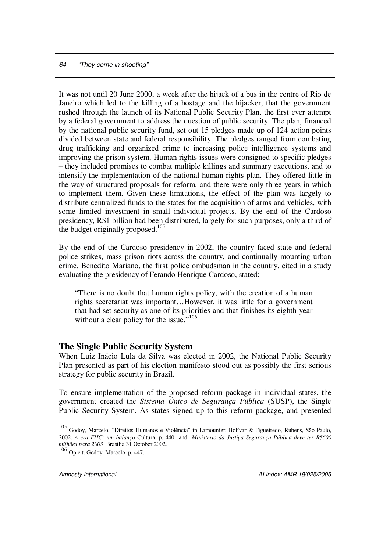It was not until 20 June 2000, a week after the hijack of a bus in the centre of Rio de Janeiro which led to the killing of a hostage and the hijacker, that the government rushed through the launch of its National Public Security Plan, the first ever attempt by a federal government to address the question of public security. The plan, financed by the national public security fund, set out 15 pledges made up of 124 action points divided between state and federal responsibility. The pledges ranged from combating drug trafficking and organized crime to increasing police intelligence systems and improving the prison system. Human rights issues were consigned to specific pledges – they included promises to combat multiple killings and summary executions, and to intensify the implementation of the national human rights plan. They offered little in the way of structured proposals for reform, and there were only three years in which to implement them. Given these limitations, the effect of the plan was largely to distribute centralized funds to the states for the acquisition of arms and vehicles, with some limited investment in small individual projects. By the end of the Cardoso presidency, R\$1 billion had been distributed, largely for such purposes, only a third of the budget originally proposed.<sup>105</sup>

By the end of the Cardoso presidency in 2002, the country faced state and federal police strikes, mass prison riots across the country, and continually mounting urban crime. Benedito Mariano, the first police ombudsman in the country, cited in a study evaluating the presidency of Ferando Henrique Cardoso, stated:

"There is no doubt that human rights policy, with the creation of a human rights secretariat was important…However, it was little for a government that had set security as one of its priorities and that finishes its eighth year without a clear policy for the issue."<sup>106</sup>

#### **The Single Public Security System**

When Luiz Inácio Lula da Silva was elected in 2002, the National Public Security Plan presented as part of his election manifesto stood out as possibly the first serious strategy for public security in Brazil.

To ensure implementation of the proposed reform package in individual states, the government created the *Sistema Único de Segurança Pública* (SUSP), the Single Public Security System. As states signed up to this reform package, and presented

<sup>105</sup> Godoy, Marcelo, "Direitos Humanos e Violência" in Lamounier, Bolívar & Figueiredo, Rubens, São Paulo, 2002. *A era FHC: um balanço* Cultura, p. 440 and *Ministerio da Justiça Segurança Pública deve ter R\$600 milhões para 2003* Brasília 31 October 2002. 106 Op cit. Godoy, Marcelo p. 447.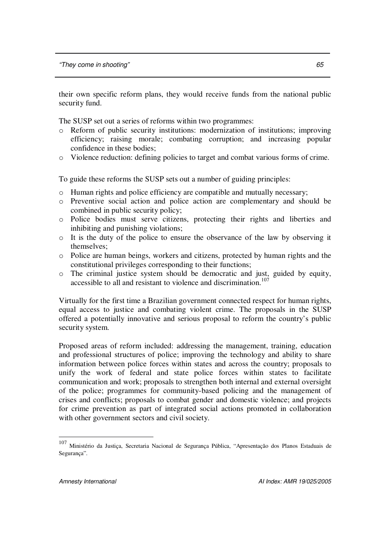their own specific reform plans, they would receive funds from the national public security fund.

The SUSP set out a series of reforms within two programmes:

- o Reform of public security institutions: modernization of institutions; improving efficiency; raising morale; combating corruption; and increasing popular confidence in these bodies;
- o Violence reduction: defining policies to target and combat various forms of crime.

To guide these reforms the SUSP sets out a number of guiding principles:

- o Human rights and police efficiency are compatible and mutually necessary;
- o Preventive social action and police action are complementary and should be combined in public security policy;
- o Police bodies must serve citizens, protecting their rights and liberties and inhibiting and punishing violations;
- o It is the duty of the police to ensure the observance of the law by observing it themselves;
- o Police are human beings, workers and citizens, protected by human rights and the constitutional privileges corresponding to their functions;
- o The criminal justice system should be democratic and just, guided by equity, accessible to all and resistant to violence and discrimination. 107

Virtually for the first time a Brazilian government connected respect for human rights, equal access to justice and combating violent crime. The proposals in the SUSP offered a potentially innovative and serious proposal to reform the country's public security system.

Proposed areas of reform included: addressing the management, training, education and professional structures of police; improving the technology and ability to share information between police forces within states and across the country; proposals to unify the work of federal and state police forces within states to facilitate communication and work; proposals to strengthen both internal and external oversight of the police; programmes for community-based policing and the management of crises and conflicts; proposals to combat gender and domestic violence; and projects for crime prevention as part of integrated social actions promoted in collaboration with other government sectors and civil society.

<sup>107</sup> Ministério da Justiça, Secretaria Nacional de Segurança Pública, "Apresentação dos Planos Estaduais de Segurança".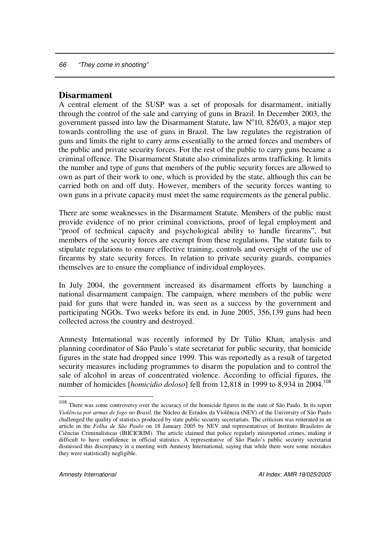### **Disarmament**

A central element of the SUSP was a set of proposals for disarmament, initially through the control of the sale and carrying of guns in Brazil. In December 2003, the government passed into law the Disarmament Statute, law  $N^010$ , 826/03, a major step towards controlling the use of guns in Brazil. The law regulates the registration of guns and limits the right to carry arms essentially to the armed forces and members of the public and private security forces. For the rest of the public to carry guns became a criminal offence. The Disarmament Statute also criminalizes arms trafficking. It limits the number and type of guns that members of the public security forces are allowed to own as part of their work to one, which is provided by the state, although this can be carried both on and off duty. However, members of the security forces wanting to own guns in a private capacity must meet the same requirements as the general public.

There are some weaknesses in the Disarmament Statute. Members of the public must provide evidence of no prior criminal convictions, proof of legal employment and "proof of technical capacity and psychological ability to handle firearms", but members of the security forces are exempt from these regulations. The statute fails to stipulate regulations to ensure effective training, controls and oversight of the use of firearms by state security forces. In relation to private security guards, companies themselves are to ensure the compliance of individual employees.

In July 2004, the government increased its disarmament efforts by launching a national disarmament campaign. The campaign, where members of the public were paid for guns that were handed in, was seen as a success by the government and participating NGOs. Two weeks before its end, in June 2005, 356,139 guns had been collected across the country and destroyed.

Amnesty International was recently informed by Dr Túlio Khan, analysis and planning coordinator of São Paulo's state secretariat for public security, that homicide figures in the state had dropped since 1999. This was reportedly as a result of targeted security measures including programmes to disarm the population and to control the sale of alcohol in areas of concentrated violence. According to official figures, the number of homicides [*homicidio doloso*] fell from 12,818 in 1999 to 8,934 in 2004. 108

<sup>&</sup>lt;sup>108</sup> There was some controversy over the accuracy of the homicide figures in the state of São Paulo. In its report *Violência por armas de fogo no Brasil,* the Núcleo de Estudos da Violência (NEV) of the University of São Paulo challenged the quality of statistics produced by state public security secretariats. The criticism was reiterated in an article in the *Folha de São Paulo* on 18 January 2005 by NEV and representatives of Instituto Brasileiro de Ciências Criminalísticas (IBICICRIM). The article claimed that police regularly misreported crimes, making it difficult to have confidence in official statistics. A representative of São Paulo's public security secretariat dismissed this discrepancy in a meeting with Amnesty International, saying that while there were some mistakes they were statistically negligible.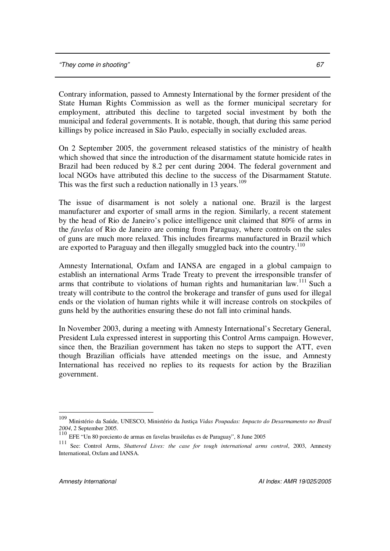Contrary information, passed to Amnesty International by the former president of the State Human Rights Commission as well as the former municipal secretary for employment, attributed this decline to targeted social investment by both the municipal and federal governments. It is notable, though, that during this same period killings by police increased in São Paulo, especially in socially excluded areas.

On 2 September 2005, the government released statistics of the ministry of health which showed that since the introduction of the disarmament statute homicide rates in Brazil had been reduced by 8.2 per cent during 2004. The federal government and local NGOs have attributed this decline to the success of the Disarmament Statute. This was the first such a reduction nationally in 13 years.<sup>109</sup>

The issue of disarmament is not solely a national one. Brazil is the largest manufacturer and exporter of small arms in the region. Similarly, a recent statement by the head of Rio de Janeiro's police intelligence unit claimed that 80% of arms in the *favelas* of Rio de Janeiro are coming from Paraguay, where controls on the sales of guns are much more relaxed. This includes firearms manufactured in Brazil which are exported to Paraguay and then illegally smuggled back into the country.<sup>110</sup>

Amnesty International, Oxfam and IANSA are engaged in a global campaign to establish an international Arms Trade Treaty to prevent the irresponsible transfer of arms that contribute to violations of human rights and humanitarian law.<sup>111</sup> Such a treaty will contribute to the control the brokerage and transfer of guns used for illegal ends or the violation of human rights while it will increase controls on stockpiles of guns held by the authorities ensuring these do not fall into criminal hands.

In November 2003, during a meeting with Amnesty International's Secretary General, President Lula expressed interest in supporting this Control Arms campaign. However, since then, the Brazilian government has taken no steps to support the ATT, even though Brazilian officials have attended meetings on the issue, and Amnesty International has received no replies to its requests for action by the Brazilian government.

<sup>109</sup> Ministério da Saúde, UNESCO, Ministério da Justiça *Vidas Poupadas: Impacto do Desarmamento no Brasil 2004*, 2 September 2005.

<sup>110</sup> EFE "Un 80 porciento de armas en favelas brasileñas es de Paraguay", 8 June 2005

<sup>111</sup> See: Control Arms, *Shattered Lives: the case for tough international arms control*, 2003, Amnesty International, Oxfam and IANSA.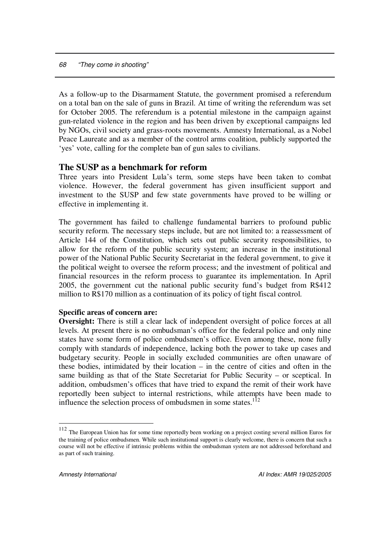As a follow-up to the Disarmament Statute, the government promised a referendum on a total ban on the sale of guns in Brazil. At time of writing the referendum was set for October 2005. The referendum is a potential milestone in the campaign against gun-related violence in the region and has been driven by exceptional campaigns led by NGOs, civil society and grass-roots movements. Amnesty International, as a Nobel Peace Laureate and as a member of the control arms coalition, publicly supported the 'yes' vote, calling for the complete ban of gun sales to civilians.

## **The SUSP as a benchmark for reform**

Three years into President Lula's term, some steps have been taken to combat violence. However, the federal government has given insufficient support and investment to the SUSP and few state governments have proved to be willing or effective in implementing it.

The government has failed to challenge fundamental barriers to profound public security reform. The necessary steps include, but are not limited to: a reassessment of Article 144 of the Constitution, which sets out public security responsibilities, to allow for the reform of the public security system; an increase in the institutional power of the National Public Security Secretariat in the federal government, to give it the political weight to oversee the reform process; and the investment of political and financial resources in the reform process to guarantee its implementation. In April 2005, the government cut the national public security fund's budget from R\$412 million to R\$170 million as a continuation of its policy of tight fiscal control.

#### **Specific areas of concern are:**

**Oversight:** There is still a clear lack of independent oversight of police forces at all levels. At present there is no ombudsman's office for the federal police and only nine states have some form of police ombudsmen's office. Even among these, none fully comply with standards of independence, lacking both the power to take up cases and budgetary security. People in socially excluded communities are often unaware of these bodies, intimidated by their location – in the centre of cities and often in the same building as that of the State Secretariat for Public Security – or sceptical. In addition, ombudsmen's offices that have tried to expand the remit of their work have reportedly been subject to internal restrictions, while attempts have been made to influence the selection process of ombudsmen in some states. $112$ 

<sup>&</sup>lt;sup>112</sup> The European Union has for some time reportedly been working on a project costing several million Euros for the training of police ombudsmen. While such institutional support is clearly welcome, there is concern that such a course will not be effective if intrinsic problems within the ombudsman system are not addressed beforehand and as part of such training.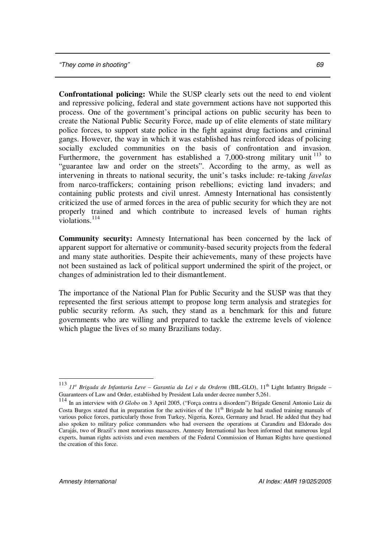**Confrontational policing:** While the SUSP clearly sets out the need to end violent and repressive policing, federal and state government actions have not supported this process. One of the government's principal actions on public security has been to create the National Public Security Force, made up of elite elements of state military police forces, to support state police in the fight against drug factions and criminal gangs. However, the way in which it was established has reinforced ideas of policing socially excluded communities on the basis of confrontation and invasion. Furthermore, the government has established a  $7,000$ -strong military unit  $^{113}$  to "guarantee law and order on the streets". According to the army, as well as intervening in threats to national security, the unit's tasks include: re-taking *favelas* from narco-traffickers; containing prison rebellions; evicting land invaders; and containing public protests and civil unrest. Amnesty International has consistently criticized the use of armed forces in the area of public security for which they are not properly trained and which contribute to increased levels of human rights violations. 114

**Community security:** Amnesty International has been concerned by the lack of apparent support for alternative or community-based security projects from the federal and many state authorities. Despite their achievements, many of these projects have not been sustained as lack of political support undermined the spirit of the project, or changes of administration led to their dismantlement.

The importance of the National Plan for Public Security and the SUSP was that they represented the first serious attempt to propose long term analysis and strategies for public security reform. As such, they stand as a benchmark for this and future governments who are willing and prepared to tackle the extreme levels of violence which plague the lives of so many Brazilians today.

<sup>113</sup> *11 <sup>a</sup> Brigada de Infantaria Leve – Garantia da Lei e da Orderm* (BIL-GLO), 11 th Light Infantry Brigade – Guaranteers of Law and Order, established by President Lula under decree number 5,261.

<sup>114</sup> In an interview with *O Globo* on 3 April 2005, ("Força contra a disordem") Brigade General Antonio Luiz da Costa Burgos stated that in preparation for the activities of the  $11<sup>th</sup>$  Brigade he had studied training manuals of various police forces, particularly those from Turkey, Nigeria, Korea, Germany and Israel. He added that they had also spoken to military police commanders who had overseen the operations at Carandiru and Eldorado dos Carajás, two of Brazil's most notorious massacres. Amnesty International has been informed that numerous legal experts, human rights activists and even members of the Federal Commission of Human Rights have questioned the creation of this force.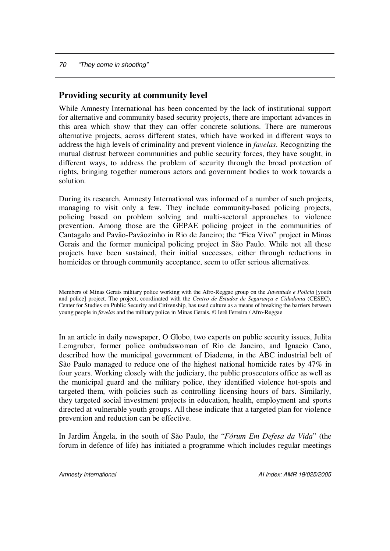## **Providing security at community level**

While Amnesty International has been concerned by the lack of institutional support for alternative and community based security projects, there are important advances in this area which show that they can offer concrete solutions. There are numerous alternative projects, across different states, which have worked in different ways to address the high levels of criminality and prevent violence in *favelas*. Recognizing the mutual distrust between communities and public security forces, they have sought, in different ways, to address the problem of security through the broad protection of rights, bringing together numerous actors and government bodies to work towards a solution.

During its research, Amnesty International was informed of a number of such projects, managing to visit only a few. They include community-based policing projects, policing based on problem solving and multi-sectoral approaches to violence prevention. Among those are the GEPAE policing project in the communities of Cantagalo and Pavão-Pavãozinho in Rio de Janeiro; the "Fica Vivo" project in Minas Gerais and the former municipal policing project in São Paulo. While not all these projects have been sustained, their initial successes, either through reductions in homicides or through community acceptance, seem to offer serious alternatives.

Members of Minas Gerais military police working with the Afro-Reggae group on the *Juventude e Policia* [youth and police] project. The project, coordinated with the *Centro de Estudos de Segurança e Cidadania* (CESEC), Center for Studies on Public Security and Citizenship, has used culture as a means of breaking the barriers between young people in *favelas* and the military police in Minas Gerais. © Ierê Ferreira / Afro-Reggae

In an article in daily newspaper, O Globo, two experts on public security issues, Julita Lemgruber, former police ombudswoman of Rio de Janeiro, and Ignacio Cano, described how the municipal government of Diadema, in the ABC industrial belt of São Paulo managed to reduce one of the highest national homicide rates by 47% in four years. Working closely with the judiciary, the public prosecutors office as well as the municipal guard and the military police, they identified violence hot-spots and targeted them, with policies such as controlling licensing hours of bars. Similarly, they targeted social investment projects in education, health, employment and sports directed at vulnerable youth groups. All these indicate that a targeted plan for violence prevention and reduction can be effective.

In Jardim Ângela, in the south of São Paulo, the "*Fórum Em Defesa da Vida*" (the forum in defence of life) has initiated a programme which includes regular meetings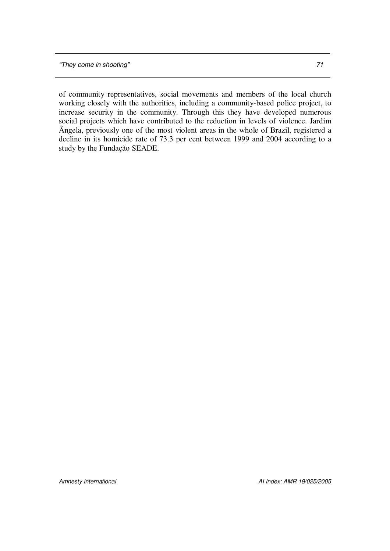of community representatives, social movements and members of the local church working closely with the authorities, including a community-based police project, to increase security in the community. Through this they have developed numerous social projects which have contributed to the reduction in levels of violence. Jardim Ângela, previously one of the most violent areas in the whole of Brazil, registered a decline in its homicide rate of 73.3 per cent between 1999 and 2004 according to a study by the Fundação SEADE.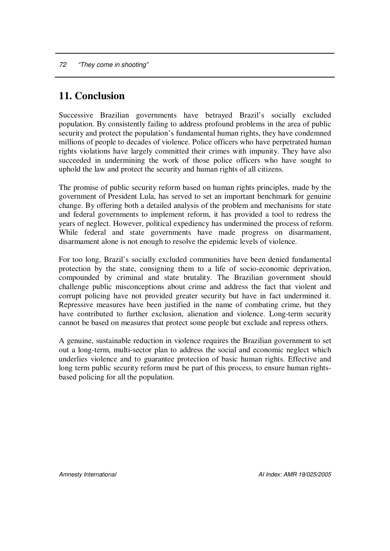# **11. Conclusion**

Successive Brazilian governments have betrayed Brazil's socially excluded population. By consistently failing to address profound problems in the area of public security and protect the population's fundamental human rights, they have condemned millions of people to decades of violence. Police officers who have perpetrated human rights violations have largely committed their crimes with impunity. They have also succeeded in undermining the work of those police officers who have sought to uphold the law and protect the security and human rights of all citizens.

The promise of public security reform based on human rights principles, made by the government of President Lula, has served to set an important benchmark for genuine change. By offering both a detailed analysis of the problem and mechanisms for state and federal governments to implement reform, it has provided a tool to redress the years of neglect. However, political expediency has undermined the process of reform. While federal and state governments have made progress on disarmament, disarmament alone is not enough to resolve the epidemic levels of violence.

For too long, Brazil's socially excluded communities have been denied fundamental protection by the state, consigning them to a life of socio-economic deprivation, compounded by criminal and state brutality. The Brazilian government should challenge public misconceptions about crime and address the fact that violent and corrupt policing have not provided greater security but have in fact undermined it. Repressive measures have been justified in the name of combating crime, but they have contributed to further exclusion, alienation and violence. Long-term security cannot be based on measures that protect some people but exclude and repress others.

A genuine, sustainable reduction in violence requires the Brazilian government to set out a long-term, multi-sector plan to address the social and economic neglect which underlies violence and to guarantee protection of basic human rights. Effective and long term public security reform must be part of this process, to ensure human rightsbased policing for all the population.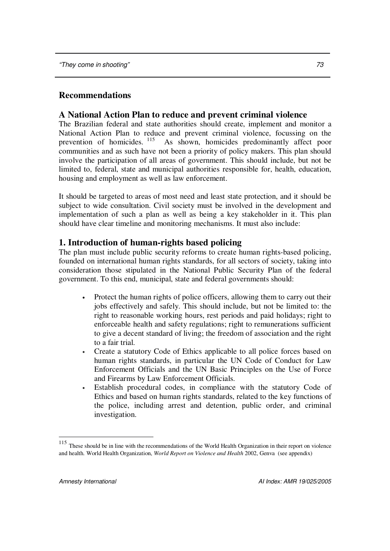# **Recommendations**

## **A National Action Plan to reduce and prevent criminal violence**

The Brazilian federal and state authorities should create, implement and monitor a National Action Plan to reduce and prevent criminal violence, focussing on the prevention of homicides. <sup>115</sup> As shown, homicides predominantly affect poor communities and as such have not been a priority of policy makers. This plan should involve the participation of all areas of government. This should include, but not be limited to, federal, state and municipal authorities responsible for, health, education, housing and employment as well as law enforcement.

It should be targeted to areas of most need and least state protection, and it should be subject to wide consultation. Civil society must be involved in the development and implementation of such a plan as well as being a key stakeholder in it. This plan should have clear timeline and monitoring mechanisms. It must also include:

# **1. Introduction of human-rights based policing**

The plan must include public security reforms to create human rights-based policing, founded on international human rights standards, for all sectors of society, taking into consideration those stipulated in the National Public Security Plan of the federal government. To this end, municipal, state and federal governments should:

- Protect the human rights of police officers, allowing them to carry out their jobs effectively and safely. This should include, but not be limited to: the right to reasonable working hours, rest periods and paid holidays; right to enforceable health and safety regulations; right to remunerations sufficient to give a decent standard of living; the freedom of association and the right to a fair trial.
- Create a statutory Code of Ethics applicable to all police forces based on human rights standards, in particular the UN Code of Conduct for Law Enforcement Officials and the UN Basic Principles on the Use of Force and Firearms by Law Enforcement Officials.
- Establish procedural codes, in compliance with the statutory Code of Ethics and based on human rights standards, related to the key functions of the police, including arrest and detention, public order, and criminal investigation.

<sup>&</sup>lt;sup>115</sup> These should be in line with the recommendations of the World Health Organization in their report on violence and health. World Health Organization, *World Report on Violence and Health* 2002, Genva (see appendix)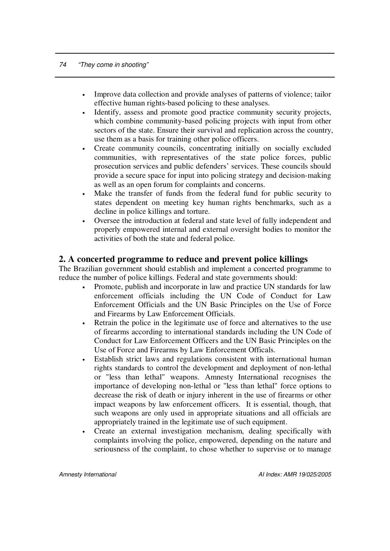- Improve data collection and provide analyses of patterns of violence; tailor effective human rights-based policing to these analyses.
- Identify, assess and promote good practice community security projects, which combine community-based policing projects with input from other sectors of the state. Ensure their survival and replication across the country, use them as a basis for training other police officers.
- Create community councils, concentrating initially on socially excluded communities, with representatives of the state police forces, public prosecution services and public defenders' services. These councils should provide a secure space for input into policing strategy and decision-making as well as an open forum for complaints and concerns.
- Make the transfer of funds from the federal fund for public security to states dependent on meeting key human rights benchmarks, such as a decline in police killings and torture.
- Oversee the introduction at federal and state level of fully independent and properly empowered internal and external oversight bodies to monitor the activities of both the state and federal police.

## **2. A concerted programme to reduce and prevent police killings**

The Brazilian government should establish and implement a concerted programme to reduce the number of police killings. Federal and state governments should:

- Promote, publish and incorporate in law and practice UN standards for law enforcement officials including the UN Code of Conduct for Law Enforcement Officials and the UN Basic Principles on the Use of Force and Firearms by Law Enforcement Officials.
- Retrain the police in the legitimate use of force and alternatives to the use of firearms according to international standards including the UN Code of Conduct for Law Enforcement Officers and the UN Basic Principles on the Use of Force and Firearms by Law Enforcement Officals.
- Establish strict laws and regulations consistent with international human rights standards to control the development and deployment of non-lethal or "less than lethal" weapons. Amnesty International recognises the importance of developing non-lethal or "less than lethal" force options to decrease the risk of death or injury inherent in the use of firearms or other impact weapons by law enforcement officers. It is essential, though, that such weapons are only used in appropriate situations and all officials are appropriately trained in the legitimate use of such equipment.
- Create an external investigation mechanism, dealing specifically with complaints involving the police, empowered, depending on the nature and seriousness of the complaint, to chose whether to supervise or to manage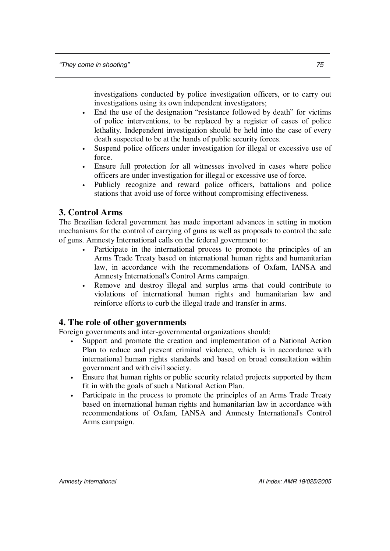investigations conducted by police investigation officers, or to carry out investigations using its own independent investigators;

- End the use of the designation "resistance followed by death" for victims of police interventions, to be replaced by a register of cases of police lethality. Independent investigation should be held into the case of every death suspected to be at the hands of public security forces.
- Suspend police officers under investigation for illegal or excessive use of force.
- Ensure full protection for all witnesses involved in cases where police officers are under investigation for illegal or excessive use of force.
- Publicly recognize and reward police officers, battalions and police stations that avoid use of force without compromising effectiveness.

# **3. Control Arms**

The Brazilian federal government has made important advances in setting in motion mechanisms for the control of carrying of guns as well as proposals to control the sale of guns. Amnesty International calls on the federal government to:

- Participate in the international process to promote the principles of an Arms Trade Treaty based on international human rights and humanitarian law, in accordance with the recommendations of Oxfam, IANSA and Amnesty International's Control Arms campaign.
- Remove and destroy illegal and surplus arms that could contribute to violations of international human rights and humanitarian law and reinforce efforts to curb the illegal trade and transfer in arms.

## **4. The role of other governments**

Foreign governments and inter-governmental organizations should:

- Support and promote the creation and implementation of a National Action Plan to reduce and prevent criminal violence, which is in accordance with international human rights standards and based on broad consultation within government and with civil society.
- Ensure that human rights or public security related projects supported by them fit in with the goals of such a National Action Plan.
- Participate in the process to promote the principles of an Arms Trade Treaty based on international human rights and humanitarian law in accordance with recommendations of Oxfam, IANSA and Amnesty International's Control Arms campaign.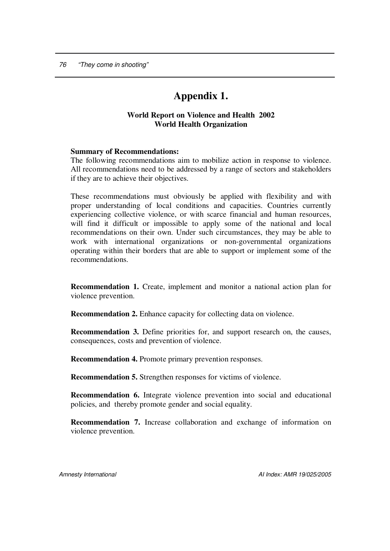# **Appendix 1.**

### **World Report on Violence and Health 2002 World Health Organization**

#### **Summary of Recommendations:**

The following recommendations aim to mobilize action in response to violence. All recommendations need to be addressed by a range of sectors and stakeholders if they are to achieve their objectives.

These recommendations must obviously be applied with flexibility and with proper understanding of local conditions and capacities. Countries currently experiencing collective violence, or with scarce financial and human resources, will find it difficult or impossible to apply some of the national and local recommendations on their own. Under such circumstances, they may be able to work with international organizations or non-governmental organizations operating within their borders that are able to support or implement some of the recommendations.

**Recommendation 1.** Create, implement and monitor a national action plan for violence prevention.

**Recommendation 2.** Enhance capacity for collecting data on violence.

**Recommendation 3.** Define priorities for, and support research on, the causes, consequences, costs and prevention of violence.

**Recommendation 4.** Promote primary prevention responses.

**Recommendation 5.** Strengthen responses for victims of violence.

**Recommendation 6.** Integrate violence prevention into social and educational policies, and thereby promote gender and social equality.

**Recommendation 7.** Increase collaboration and exchange of information on violence prevention.

*Amnesty International AI Index: AMR 19/025/2005*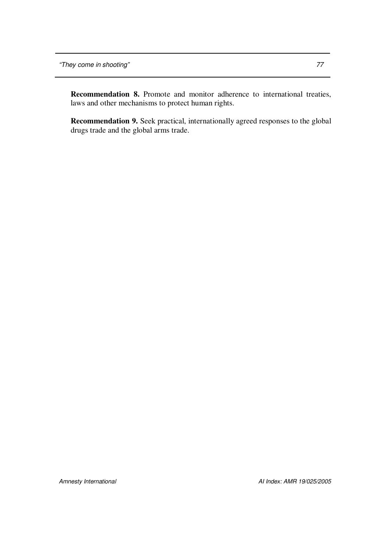**Recommendation 8.** Promote and monitor adherence to international treaties, laws and other mechanisms to protect human rights.

**Recommendation 9.** Seek practical, internationally agreed responses to the global drugs trade and the global arms trade.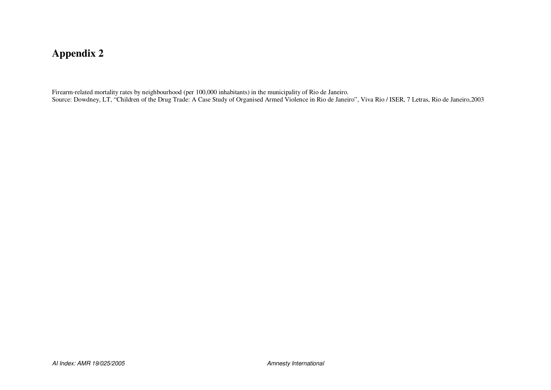## **Appendix 2**

Firearm-related mortality rates by neighbourhood (per 100,000 inhabitants) in the municipality of Rio de Janeiro. Source: Dowdney, LT, "Children of the Drug Trade: A Case Study of Organised Armed Violence in Rio de Janeiro", Viva Rio / ISER, 7 Letras, Rio de Janeiro,2003